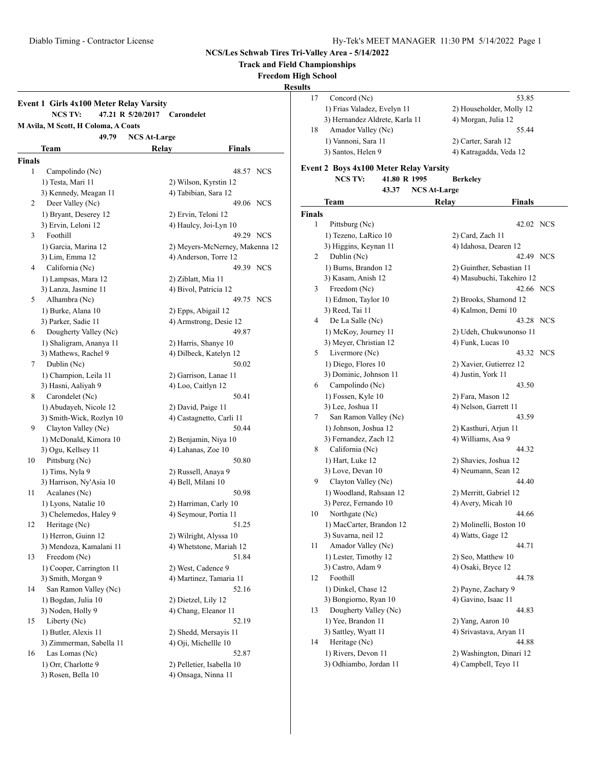**Track and Field Championships**

**Freedom High School**

**Results**

## **Event 1 Girls 4x100 Meter Relay Varsity NCS TV: 47.21 R 5/20/2017 Carondelet M Avila, M Scott, H Coloma, A Coats 49.79 NCS At-Large Team Relay Finals Finals** 1 Campolindo (Nc) 48.57 NCS 1) Testa, Mari 11 2) Wilson, Kyrstin 12 3) Kennedy, Meagan 11 4) Tabibian, Sara 12 2 Deer Valley (Nc) 49.06 NCS 1) Bryant, Deserey 12 2) Ervin, Teloni 12 3) Ervin, Leloni 12 4) Haulcy, Joi-Lyn 10 3 Foothill 49.29 NCS 1) Garcia, Marina 12 2) Meyers-McNerney, Makenna 12 3) Lim, Emma 12 4) Anderson, Torre 12 4 California (Nc) 49.39 NCS 1) Lampsas, Mara 12 2) Ziblatt, Mia 11 3) Lanza, Jasmine 11 4) Bivol, Patricia 12 5 Alhambra (Nc) 49.75 NCS 1) Burke, Alana 10 2) Epps, Abigail 12 3) Parker, Sadie 11 4) Armstrong, Desie 12 6 Dougherty Valley (Nc) 49.87 1) Shaligram, Ananya 11 2) Harris, Shanye 10 3) Mathews, Rachel 9 4) Dilbeck, Katelyn 12 7 Dublin (Nc) 50.02 1) Champion, Leila 11 2) Garrison, Lanae 11 3) Hasni, Aaliyah 9 4) Loo, Caitlyn 12 8 Carondelet (Nc) 50.41 1) Abudayeh, Nicole 12 2) David, Paige 11 3) Smith-Wick, Rozlyn 10 4) Castagnetto, Carli 11 9 Clayton Valley (Nc) 50.44 1) McDonald, Kimora 10 2) Benjamin, Niya 10 3) Ogu, Kellsey 11 4) Lahanas, Zoe 10 10 Pittsburg (Nc) 50.80 1) Tims, Nyla 9 2) Russell, Anaya 9 3) Harrison, Ny'Asia 10 4) Bell, Milani 10 11 Acalanes (Nc) 50.98 1) Lyons, Natalie 10 2) Harriman, Carly 10 3) Chelemedos, Haley 9 4) Seymour, Portia 11 12 Heritage (Nc) 51.25 1) Herron, Guinn 12 2) Wilright, Alyssa 10 3) Mendoza, Kamalani 11 4) Whetstone, Mariah 12 13 Freedom (Nc) 51.84 1) Cooper, Carrington 11 2) West, Cadence 9 3) Smith, Morgan 9 4) Martinez, Tamaria 11 14 San Ramon Valley (Nc) 52.16 1) Bogdan, Julia 10 2) Dietzel, Lily 12 3) Noden, Holly 9 4) Chang, Eleanor 11 15 Liberty (Nc) 52.19 1) Butler, Alexis 11 2) Shedd, Mersayis 11 3) Zimmerman, Sabella 11 4) Oji, Michellle 10 16 Las Lomas (Nc) 52.87 1) Orr, Charlotte 9 2) Pelletier, Isabella 10

3) Rosen, Bella 10 4) Onsaga, Ninna 11

17 Concord (Nc) 53.85 1) Frias Valadez, Evelyn 11 2) Householder, Molly 12 3) Hernandez Aldrete, Karla 11 4) Morgan, Julia 12 18 Amador Valley (Nc) 55.44 1) Vannoni, Sara 11 2) Carter, Sarah 12 3) Santos, Helen 9 4) Katragadda, Veda 12

#### **Event 2 Boys 4x100 Meter Relay Varsity**

|               | <b>NCS TV:</b>           | 41.80 R 1995 |                     | Berkeley                  |              |
|---------------|--------------------------|--------------|---------------------|---------------------------|--------------|
|               |                          | 43.37        | <b>NCS At-Large</b> |                           |              |
|               | Team                     |              | Relav               |                           | Finals       |
| <b>Finals</b> |                          |              |                     |                           |              |
| 1             | Pittsburg (Nc)           |              |                     |                           | 42.02 NCS    |
|               | 1) Tezeno, LaRico 10     |              |                     | 2) Card, Zach 11          |              |
|               | 3) Higgins, Keynan 11    |              |                     | 4) Idahosa, Dearen 12     |              |
| 2             | Dublin (Nc)              |              |                     |                           | 42.49 NCS    |
|               | 1) Burns, Brandon 12     |              |                     | 2) Guinther, Sebastian 11 |              |
|               | 3) Kasam, Anish 12       |              |                     | 4) Masubuchi, Takehiro 12 |              |
| 3             | Freedom (Nc)             |              |                     |                           | 42.66 NCS    |
|               | 1) Edmon, Taylor 10      |              |                     | 2) Brooks, Shamond 12     |              |
|               | 3) Reed, Tai 11          |              |                     | 4) Kalmon, Demi 10        |              |
| 4             | De La Salle (Nc)         |              |                     |                           | 43.28<br>NCS |
|               | 1) McKoy, Journey 11     |              |                     | 2) Udeh, Chukwunonso 11   |              |
|               | 3) Meyer, Christian 12   |              |                     | 4) Funk, Lucas 10         |              |
| 5             | Livermore (Nc)           |              |                     |                           | 43.32<br>NCS |
|               | 1) Diego, Flores 10      |              |                     | 2) Xavier, Gutierrez 12   |              |
|               | 3) Dominic, Johnson 11   |              |                     | 4) Justin, York 11        |              |
| 6             | Campolindo (Nc)          |              |                     |                           | 43.50        |
|               | 1) Fossen, Kyle 10       |              |                     | 2) Fara, Mason 12         |              |
|               | 3) Lee, Joshua 11        |              |                     | 4) Nelson, Garrett 11     |              |
| 7             | San Ramon Valley (Nc)    |              |                     |                           | 43.59        |
|               | 1) Johnson, Joshua 12    |              |                     | 2) Kasthuri, Arjun 11     |              |
|               | 3) Fernandez, Zach 12    |              |                     | 4) Williams, Asa 9        |              |
| 8             | California (Nc)          |              |                     |                           | 44.32        |
|               | 1) Hart, Luke 12         |              |                     | 2) Shavies, Joshua 12     |              |
|               | 3) Love, Devan 10        |              |                     | 4) Neumann, Sean 12       |              |
| 9             | Clayton Valley (Nc)      |              |                     |                           | 44.40        |
|               | 1) Woodland, Rahsaan 12  |              |                     | 2) Merritt, Gabriel 12    |              |
|               | 3) Perez, Fernando 10    |              |                     | 4) Avery, Micah 10        |              |
| 10            | Northgate (Nc)           |              |                     |                           | 44.66        |
|               | 1) MacCarter, Brandon 12 |              |                     | 2) Molinelli, Boston 10   |              |
|               | 3) Suvarna, neil 12      |              |                     | 4) Watts, Gage 12         |              |
| 11            | Amador Valley (Nc)       |              |                     |                           | 44.71        |
|               | 1) Lester, Timothy 12    |              |                     | 2) Seo, Matthew 10        |              |
|               | 3) Castro, Adam 9        |              |                     | 4) Osaki, Bryce 12        |              |
| 12            | Foothill                 |              |                     |                           | 44.78        |
|               | 1) Dinkel, Chase 12      |              |                     | 2) Payne, Zachary 9       |              |
|               | 3) Bongiorno, Ryan 10    |              |                     | 4) Gavino, Isaac 11       |              |
| 13            | Dougherty Valley (Nc)    |              |                     |                           | 44.83        |
|               | 1) Yee, Brandon 11       |              |                     | 2) Yang, Aaron 10         |              |
|               | 3) Sattley, Wyatt 11     |              |                     | 4) Srivastava, Aryan 11   |              |
| 14            | Heritage (Nc)            |              |                     |                           | 44.88        |
|               | 1) Rivers, Devon 11      |              |                     | 2) Washington, Dinari 12  |              |
|               | 3) Odhiambo, Jordan 11   |              |                     | 4) Campbell, Teyo 11      |              |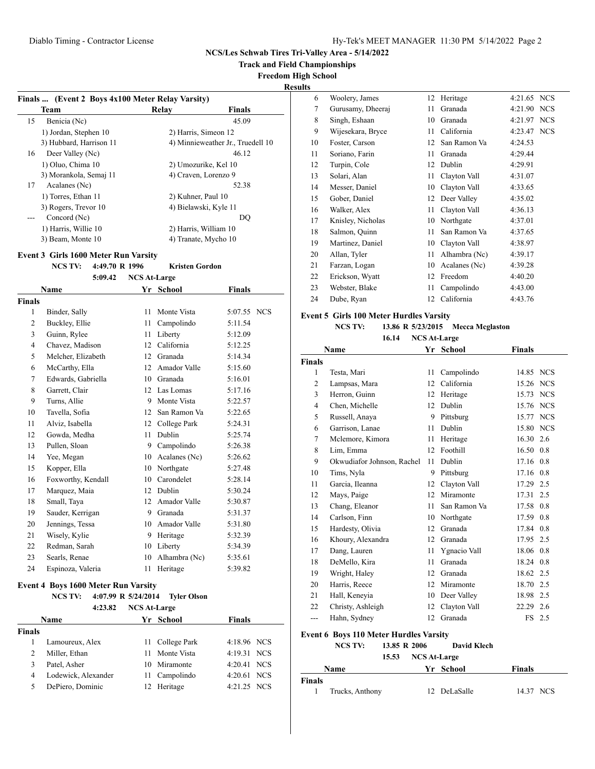**Track and Field Championships**

**Freedom High School**

**Results**

|     | Team                    | Relay              | <b>Finals</b>                     |
|-----|-------------------------|--------------------|-----------------------------------|
| 15  | Benicia (Nc)            |                    | 45.09                             |
|     | 1) Jordan, Stephen 10   |                    | 2) Harris, Simeon 12              |
|     | 3) Hubbard, Harrison 11 |                    | 4) Minnieweather Jr., Truedell 10 |
| 16  | Deer Valley (Nc)        |                    | 46.12                             |
|     | 1) Oluo, Chima 10       |                    | 2) Umozurike, Kel 10              |
|     | 3) Morankola, Semaj 11  |                    | 4) Craven, Lorenzo 9              |
| 17  | Acalanes (Nc)           |                    | 52.38                             |
|     | 1) Torres, Ethan 11     | 2) Kuhner, Paul 10 |                                   |
|     | 3) Rogers, Trevor 10    |                    | 4) Bielawski, Kyle 11             |
| --- | Concord (Nc)            |                    | DO                                |
|     | 1) Harris, Willie 10    |                    | 2) Harris, William 10             |
|     | 3) Beam, Monte 10       |                    | 4) Tranate, Mycho 10              |

### **Event 3 Girls 1600 Meter Run Varsity**

**NCS TV: 4:49.70 R 1996 Kristen Gordon 5:09.42 NCS At-Large**

|                | 5:09.42            | <b>NCS At-Large</b> |               |             |  |
|----------------|--------------------|---------------------|---------------|-------------|--|
|                | Name               |                     | Yr School     | Finals      |  |
| <b>Finals</b>  |                    |                     |               |             |  |
| 1              | Binder, Sally      | 11                  | Monte Vista   | 5:07.55 NCS |  |
| $\overline{2}$ | Buckley, Ellie     | 11                  | Campolindo    | 5:11.54     |  |
| 3              | Guinn, Rylee       | 11                  | Liberty       | 5:12.09     |  |
| $\overline{4}$ | Chavez, Madison    | 12                  | California    | 5:12.25     |  |
| 5              | Melcher, Elizabeth | 12                  | Granada       | 5:14.34     |  |
| 6              | McCarthy, Ella     | 12                  | Amador Valle  | 5:15.60     |  |
| 7              | Edwards, Gabriella | 10                  | Granada       | 5:16.01     |  |
| 8              | Garrett, Clair     | 12                  | Las Lomas     | 5:17.16     |  |
| 9              | Turns, Allie       | 9                   | Monte Vista   | 5:22.57     |  |
| 10             | Tavella, Sofia     | 12                  | San Ramon Va  | 5:22.65     |  |
| 11             | Alviz, Isabella    | 12                  | College Park  | 5:24.31     |  |
| 12             | Gowda, Medha       | 11                  | Dublin        | 5:25.74     |  |
| 13             | Pullen, Sloan      | 9                   | Campolindo    | 5:26.38     |  |
| 14             | Yee, Megan         | 10                  | Acalanes (Nc) | 5:26.62     |  |
| 15             | Kopper, Ella       | 10                  | Northgate     | 5:27.48     |  |
| 16             | Foxworthy, Kendall | 10                  | Carondelet    | 5:28.14     |  |
| 17             | Marquez, Maia      | 12                  | Dublin        | 5:30.24     |  |
| 18             | Small, Taya        | 12                  | Amador Valle  | 5:30.87     |  |
| 19             | Sauder, Kerrigan   | 9                   | Granada       | 5:31.37     |  |
| 20             | Jennings, Tessa    | 10                  | Amador Valle  | 5:31.80     |  |
| 21             | Wisely, Kylie      | 9                   | Heritage      | 5:32.39     |  |
| 22             | Redman, Sarah      | 10                  | Liberty       | 5:34.39     |  |
| 23             | Searls, Renae      | 10                  | Alhambra (Nc) | 5:35.61     |  |
| 24             | Espinoza, Valeria  | 11                  | Heritage      | 5:39.82     |  |

## **Event 4 Boys 1600 Meter Run Varsity**

**NCS TV: 4:07.99 R 5/24/2014 Tyler Olson**

|        | <b>NCS At-Large</b><br>4:23.82 |  |                 |               |  |
|--------|--------------------------------|--|-----------------|---------------|--|
|        | <b>Name</b>                    |  | Yr School       | <b>Finals</b> |  |
| Finals |                                |  |                 |               |  |
|        | Lamoureux, Alex                |  | 11 College Park | 4:18.96 NCS   |  |
| 2      | Miller, Ethan                  |  | 11 Monte Vista  | 4:19.31 NCS   |  |
|        | Patel, Asher                   |  | 10 Miramonte    | 4:20.41 NCS   |  |
| 4      | Lodewick, Alexander            |  | 11 Campolindo   | 4:20.61 NCS   |  |
| 5      | DePiero, Dominic               |  | 12 Heritage     | 4:21.25 NCS   |  |

| $\cdot$ |                   |    |               |         |            |
|---------|-------------------|----|---------------|---------|------------|
| 6       | Woolery, James    | 12 | Heritage      | 4:21.65 | <b>NCS</b> |
| 7       | Gurusamy, Dheeraj | 11 | Granada       | 4:21.90 | <b>NCS</b> |
| 8       | Singh, Eshaan     | 10 | Granada       | 4:21.97 | <b>NCS</b> |
| 9       | Wijesekara, Bryce | 11 | California    | 4:23.47 | <b>NCS</b> |
| 10      | Foster, Carson    | 12 | San Ramon Va  | 4:24.53 |            |
| 11      | Soriano, Farin    | 11 | Granada       | 4:29.44 |            |
| 12      | Turpin, Cole      | 12 | Dublin        | 4:29.91 |            |
| 13      | Solari, Alan      | 11 | Clayton Vall  | 4:31.07 |            |
| 14      | Messer, Daniel    | 10 | Clayton Vall  | 4:33.65 |            |
| 15      | Gober, Daniel     | 12 | Deer Valley   | 4:35.02 |            |
| 16      | Walker, Alex      | 11 | Clayton Vall  | 4:36.13 |            |
| 17      | Knisley, Nicholas | 10 | Northgate     | 4:37.01 |            |
| 18      | Salmon, Quinn     | 11 | San Ramon Va  | 4:37.65 |            |
| 19      | Martinez, Daniel  | 10 | Clayton Vall  | 4:38.97 |            |
| 20      | Allan, Tyler      | 11 | Alhambra (Nc) | 4:39.17 |            |
| 21      | Farzan, Logan     | 10 | Acalanes (Nc) | 4:39.28 |            |
| 22      | Erickson, Wyatt   | 12 | Freedom       | 4:40.20 |            |
| 23      | Webster, Blake    | 11 | Campolindo    | 4:43.00 |            |
| 24      | Dube, Ryan        | 12 | California    | 4:43.76 |            |
|         |                   |    |               |         |            |

#### **Event 5 Girls 100 Meter Hurdles Varsity**

# **NCS TV: 13.86 R 5/23/2015 Mecca Mcglaston**

| 16.14 | <b>NCS At-Large</b> |
|-------|---------------------|
|-------|---------------------|

|                | Name                       |    | Yr School     | <b>Finals</b> |            |
|----------------|----------------------------|----|---------------|---------------|------------|
| <b>Finals</b>  |                            |    |               |               |            |
| $\mathbf{1}$   | Testa, Mari                | 11 | Campolindo    | 14.85 NCS     |            |
| 2              | Lampsas, Mara              | 12 | California    | 15.26         | <b>NCS</b> |
| 3              | Herron, Guinn              | 12 | Heritage      | 15.73 NCS     |            |
| $\overline{4}$ | Chen, Michelle             | 12 | Dublin        | 15.76         | <b>NCS</b> |
| 5              | Russell, Anaya             | 9  | Pittsburg     | 15.77 NCS     |            |
| 6              | Garrison, Lanae            | 11 | <b>Dublin</b> | 15.80         | <b>NCS</b> |
| 7              | Mclemore, Kimora           | 11 | Heritage      | 16.30 2.6     |            |
| 8              | Lim, Emma                  | 12 | Foothill      | 16.50 0.8     |            |
| 9              | Okwudiafor Johnson, Rachel | 11 | Dublin        | 17.16 0.8     |            |
| 10             | Tims, Nyla                 | 9  | Pittsburg     | 17.16 0.8     |            |
| 11             | Garcia, Ileanna            | 12 | Clayton Vall  | 17.29 2.5     |            |
| 12             | Mays, Paige                | 12 | Miramonte     | 17.31 2.5     |            |
| 13             | Chang, Eleanor             | 11 | San Ramon Va  | 17.58 0.8     |            |
| 14             | Carlson, Finn              | 10 | Northgate     | 17.59 0.8     |            |
| 15             | Hardesty, Olivia           | 12 | Granada       | 17.84 0.8     |            |
| 16             | Khoury, Alexandra          | 12 | Granada       | 17.95 2.5     |            |
| 17             | Dang, Lauren               | 11 | Ygnacio Vall  | 18.06 0.8     |            |
| 18             | DeMello, Kira              | 11 | Granada       | 18.24 0.8     |            |
| 19             | Wright, Haley              | 12 | Granada       | 18.62 2.5     |            |
| 20             | Harris, Reece              | 12 | Miramonte     | 18.70 2.5     |            |
| 21             | Hall, Keneyia              | 10 | Deer Valley   | 18.98 2.5     |            |
| 22             | Christy, Ashleigh          | 12 | Clayton Vall  | 22.29 2.6     |            |
| ---            | Hahn, Sydney               | 12 | Granada       |               | FS 2.5     |

## **Event 6 Boys 110 Meter Hurdles Varsity**

| <b>NCS TV:</b> | 13.85 R 2006 | <b>David Klech</b> |
|----------------|--------------|--------------------|
|                |              |                    |

|                 | 15.53 NCS At-Large |               |
|-----------------|--------------------|---------------|
| <b>Name</b>     | Yr School          | <b>Finals</b> |
| Finals          |                    |               |
| Trucks, Anthony | 12 DeLaSalle       | 14.37 NCS     |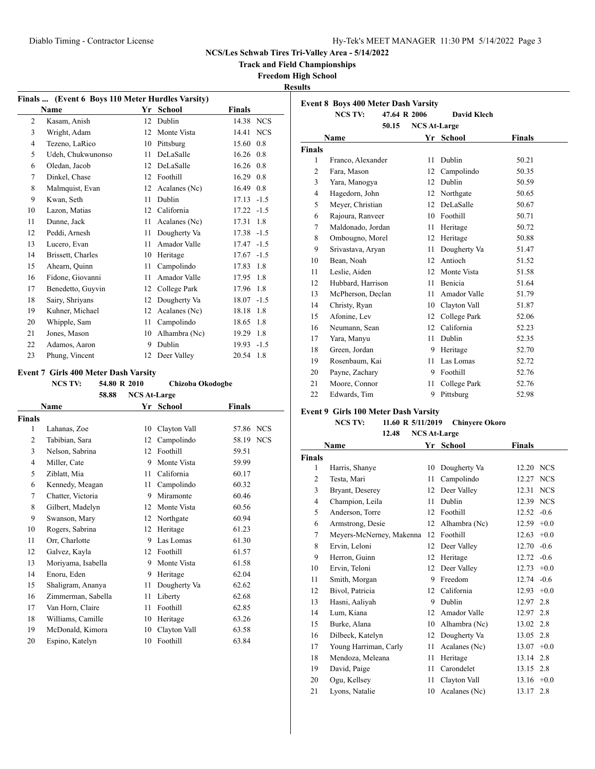**Track and Field Championships**

## **Freedom High School**

**Results**

| Finals  (Event 6 Boys 110 Meter Hurdles Varsity) |                   |    |               |               |            |
|--------------------------------------------------|-------------------|----|---------------|---------------|------------|
|                                                  | Name              | Yr | <b>School</b> | Finals        |            |
| $\overline{c}$                                   | Kasam, Anish      | 12 | Dublin        | 14.38 NCS     |            |
| 3                                                | Wright, Adam      | 12 | Monte Vista   | 14.41         | <b>NCS</b> |
| $\overline{4}$                                   | Tezeno, LaRico    | 10 | Pittsburg     | 15.60         | 0.8        |
| 5                                                | Udeh, Chukwunonso | 11 | DeLaSalle     | 16.26         | 0.8        |
| 6                                                | Oledan, Jacob     | 12 | DeLaSalle     | 16.26 0.8     |            |
| 7                                                | Dinkel, Chase     | 12 | Foothill      | 16.29         | 0.8        |
| 8                                                | Malmquist, Evan   | 12 | Acalanes (Nc) | 16.49         | 0.8        |
| 9                                                | Kwan, Seth        | 11 | Dublin        | $17.13 - 1.5$ |            |
| 10                                               | Lazon, Matias     | 12 | California    | $17.22 - 1.5$ |            |
| 11                                               | Dunne, Jack       | 11 | Acalanes (Nc) | 17.31         | 1.8        |
| 12                                               | Peddi, Arnesh     | 11 | Dougherty Va  | $17.38 - 1.5$ |            |
| 13                                               | Lucero, Evan      | 11 | Amador Valle  | 17.47         | $-1.5$     |
| 14                                               | Brissett, Charles | 10 | Heritage      | 17.67         | $-1.5$     |
| 15                                               | Ahearn, Quinn     | 11 | Campolindo    | 17.83         | 1.8        |
| 16                                               | Fidone, Giovanni  | 11 | Amador Valle  | 17.95         | 1.8        |
| 17                                               | Benedetto, Guyvin | 12 | College Park  | 17.96         | 1.8        |
| 18                                               | Sairy, Shriyans   | 12 | Dougherty Va  | 18.07         | $-1.5$     |
| 19                                               | Kuhner, Michael   | 12 | Acalanes (Nc) | 18.18         | 1.8        |
| 20                                               | Whipple, Sam      | 11 | Campolindo    | 18.65         | 1.8        |
| 21                                               | Jones, Mason      | 10 | Alhambra (Nc) | 19.29         | 1.8        |
| 22                                               | Adamos, Aaron     | 9  | Dublin        | $19.93 - 1.5$ |            |
| 23                                               | Phung, Vincent    | 12 | Deer Valley   | 20.54         | 1.8        |

## **Event 7 Girls 400 Meter Dash Varsity**

**NCS TV: 54.80 R 2010 Chizoba Okodogbe**

|               | 58.88              | <b>NCS At-Large</b> |               |                     |
|---------------|--------------------|---------------------|---------------|---------------------|
|               | Name               | Yr                  | <b>School</b> | <b>Finals</b>       |
| <b>Finals</b> |                    |                     |               |                     |
| 1             | Lahanas, Zoe       | 10                  | Clayton Vall  | <b>NCS</b><br>57.86 |
| 2             | Tabibian, Sara     | 12                  | Campolindo    | 58.19 NCS           |
| 3             | Nelson, Sabrina    | 12                  | Foothill      | 59.51               |
| 4             | Miller, Cate       | 9                   | Monte Vista   | 59.99               |
| 5             | Ziblatt, Mia       | 11                  | California    | 60.17               |
| 6             | Kennedy, Meagan    | 11                  | Campolindo    | 60.32               |
| 7             | Chatter, Victoria  | 9                   | Miramonte     | 60.46               |
| 8             | Gilbert, Madelyn   | 12                  | Monte Vista   | 60.56               |
| 9             | Swanson, Mary      | 12                  | Northgate     | 60.94               |
| 10            | Rogers, Sabrina    | 12                  | Heritage      | 61.23               |
| 11            | Orr. Charlotte     | 9                   | Las Lomas     | 61.30               |
| 12            | Galvez, Kayla      | 12                  | Foothill      | 61.57               |
| 13            | Moriyama, Isabella | 9                   | Monte Vista   | 61.58               |
| 14            | Enoru, Eden        | 9                   | Heritage      | 62.04               |
| 15            | Shaligram, Ananya  | 11                  | Dougherty Va  | 62.62               |
| 16            | Zimmerman, Sabella | 11                  | Liberty       | 62.68               |
| 17            | Van Horn, Claire   | 11                  | Foothill      | 62.85               |
| 18            | Williams, Camille  | 10                  | Heritage      | 63.26               |
| 19            | McDonald, Kimora   | 10                  | Clayton Vall  | 63.58               |
| 20            | Espino, Katelyn    | 10                  | Foothill      | 63.84               |

|               | <b>NCS TV:</b>    | 47.64 R 2006 |                     | David Klech  |               |
|---------------|-------------------|--------------|---------------------|--------------|---------------|
|               |                   | 50.15        | <b>NCS At-Large</b> |              |               |
|               | Name              |              | Yr                  | School       | <b>Finals</b> |
| <b>Finals</b> |                   |              |                     |              |               |
| 1             | Franco, Alexander |              | 11                  | Dublin       | 50.21         |
| 2             | Fara, Mason       |              | 12                  | Campolindo   | 50.35         |
| 3             | Yara, Manogya     |              | 12                  | Dublin       | 50.59         |
| 4             | Hagedorn, John    |              | 12                  | Northgate    | 50.65         |
| 5             | Meyer, Christian  |              | 12                  | DeLaSalle    | 50.67         |
| 6             | Rajoura, Ranveer  |              | 10                  | Foothill     | 50.71         |
| 7             | Maldonado, Jordan |              | 11                  | Heritage     | 50.72         |
| 8             | Ombougno, Morel   |              | 12                  | Heritage     | 50.88         |
| 9             | Srivastava, Aryan |              | 11                  | Dougherty Va | 51.47         |
| 10            | Bean, Noah        |              | 12                  | Antioch      | 51.52         |
| 11            | Leslie, Aiden     |              | 12                  | Monte Vista  | 51.58         |
| 12            | Hubbard, Harrison |              | 11                  | Benicia      | 51.64         |
| 13            | McPherson, Declan |              | 11                  | Amador Valle | 51.79         |
| 14            | Christy, Ryan     |              | 10                  | Clayton Vall | 51.87         |
| 15            | Afonine, Lev      |              | 12                  | College Park | 52.06         |
| 16            | Neumann, Sean     |              | 12                  | California   | 52.23         |
| 17            | Yara, Manyu       |              | 11                  | Dublin       | 52.35         |
| 18            | Green, Jordan     |              | 9                   | Heritage     | 52.70         |
| 19            | Rosenbaum, Kai    |              | 11                  | Las Lomas    | 52.72         |
| 20            | Payne, Zachary    |              | 9                   | Foothill     | 52.76         |
| 21            | Moore, Connor     |              | 11                  | College Park | 52.76         |
| 22            | Edwards, Tim      |              | 9                   | Pittsburg    | 52.98         |
|               |                   |              |                     |              |               |

## **Event 9 Girls 100 Meter Dash Varsity**

**NCS TV: 11.60 R 5/11/2019 Chinyere Okoro**

| Name           |                             |    | Yr School     | Finals        |        |
|----------------|-----------------------------|----|---------------|---------------|--------|
| <b>Finals</b>  |                             |    |               |               |        |
| 1              | Harris, Shanye              | 10 | Dougherty Va  | 12.20 NCS     |        |
| $\overline{c}$ | Testa, Mari                 | 11 | Campolindo    | 12.27 NCS     |        |
| 3              | Bryant, Deserey             | 12 | Deer Valley   | 12.31 NCS     |        |
| $\overline{4}$ | Champion, Leila             | 11 | Dublin        | 12.39 NCS     |        |
| 5              | Anderson, Torre             | 12 | Foothill      | $12.52 -0.6$  |        |
| 6              | Armstrong, Desie            | 12 | Alhambra (Nc) | $12.59 +0.0$  |        |
| 7              | Meyers-McNerney, Makenna 12 |    | Foothill      | 12.63         | $+0.0$ |
| 8              | Ervin, Leloni               | 12 | Deer Valley   | 12.70         | $-0.6$ |
| 9              | Herron, Guinn               | 12 | Heritage      | 12.72         | $-0.6$ |
| 10             | Ervin, Teloni               | 12 | Deer Valley   | $12.73 +0.0$  |        |
| 11             | Smith, Morgan               | 9  | Freedom       | 12.74         | $-0.6$ |
| 12             | Bivol, Patricia             | 12 | California    | 12.93         | $+0.0$ |
| 13             | Hasni, Aaliyah              | 9  | Dublin        | 12.97         | 2.8    |
| 14             | Lum, Kiana                  | 12 | Amador Valle  | 12.97 2.8     |        |
| 15             | Burke, Alana                | 10 | Alhambra (Nc) | 13.02 2.8     |        |
| 16             | Dilbeck, Katelyn            | 12 | Dougherty Va  | 13.05 2.8     |        |
| 17             | Young Harriman, Carly       | 11 | Acalanes (Nc) | 13.07         | $+0.0$ |
| 18             | Mendoza, Meleana            | 11 | Heritage      | 13.14 2.8     |        |
| 19             | David, Paige                | 11 | Carondelet    | 13.15 2.8     |        |
| 20             | Ogu, Kellsey                | 11 | Clayton Vall  | $13.16 + 0.0$ |        |
| 21             | Lyons, Natalie              | 10 | Acalanes (Nc) | 13.17         | 2.8    |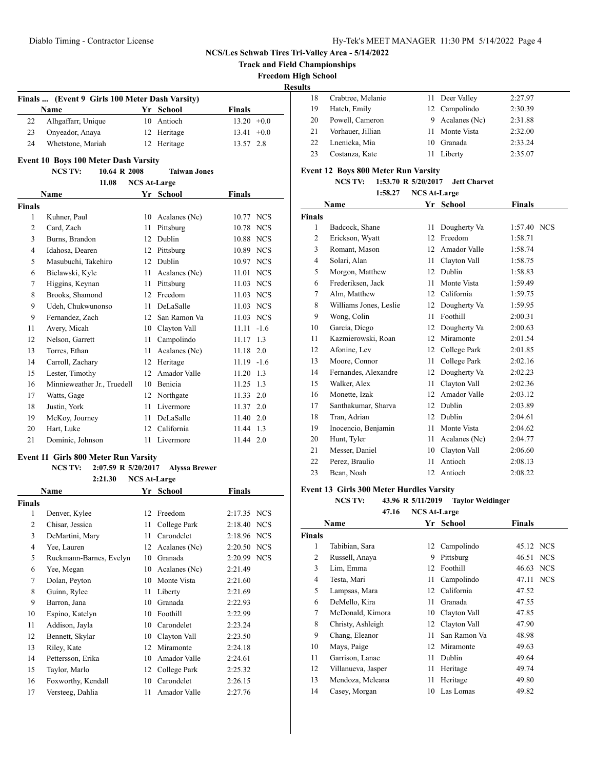**Track and Field Championships**

**Freedom High School**

**Results**

|    | Finals  (Event 9 Girls 100 Meter Dash Varsity) |             |               |
|----|------------------------------------------------|-------------|---------------|
|    | <b>Name</b>                                    | Yr School   | <b>Finals</b> |
| 22 | Alhgaffarr, Unique                             | 10 Antioch  | $13.20 +0.0$  |
| 23 | Onyeador, Anaya                                | 12 Heritage | $13.41 + 0.0$ |
| 24 | Whetstone, Mariah                              | 12 Heritage | 13.57 2.8     |

# **Event 10 Boys 100 Meter Dash Varsity**

 $\overline{\phantom{a}}$ 

**NCS TV: 10.64 R 2008 Taiwan Jones**

| 11.08<br><b>NCS At-Large</b> |                             |    |               |                     |  |  |  |
|------------------------------|-----------------------------|----|---------------|---------------------|--|--|--|
|                              | <b>Name</b>                 | Yr | <b>School</b> | <b>Finals</b>       |  |  |  |
| <b>Finals</b>                |                             |    |               |                     |  |  |  |
| 1                            | Kuhner, Paul                | 10 | Acalanes (Nc) | 10.77<br><b>NCS</b> |  |  |  |
| $\overline{2}$               | Card, Zach                  | 11 | Pittsburg     | 10.78<br><b>NCS</b> |  |  |  |
| 3                            | Burns, Brandon              | 12 | Dublin        | <b>NCS</b><br>10.88 |  |  |  |
| 4                            | Idahosa, Dearen             | 12 | Pittsburg     | <b>NCS</b><br>10.89 |  |  |  |
| 5                            | Masubuchi, Takehiro         | 12 | Dublin        | 10.97 NCS           |  |  |  |
| 6                            | Bielawski, Kyle             | 11 | Acalanes (Nc) | 11.01<br><b>NCS</b> |  |  |  |
| 7                            | Higgins, Keynan             | 11 | Pittsburg     | <b>NCS</b><br>11.03 |  |  |  |
| 8                            | Brooks, Shamond             | 12 | Freedom       | 11.03<br><b>NCS</b> |  |  |  |
| 9                            | Udeh, Chukwunonso           | 11 | DeLaSalle     | <b>NCS</b><br>11.03 |  |  |  |
| 9                            | Fernandez, Zach             | 12 | San Ramon Va  | <b>NCS</b><br>11.03 |  |  |  |
| 11                           | Avery, Micah                | 10 | Clayton Vall  | 11.11<br>$-1.6$     |  |  |  |
| 12                           | Nelson, Garrett             | 11 | Campolindo    | 11.17<br>1.3        |  |  |  |
| 13                           | Torres, Ethan               | 11 | Acalanes (Nc) | 11.18<br>2.0        |  |  |  |
| 14                           | Carroll, Zachary            | 12 | Heritage      | $-1.6$<br>11.19     |  |  |  |
| 15                           | Lester, Timothy             | 12 | Amador Valle  | 1.3<br>11.20        |  |  |  |
| 16                           | Minnieweather Jr., Truedell | 10 | Benicia       | 11.25<br>1.3        |  |  |  |
| 17                           | Watts, Gage                 | 12 | Northgate     | 2.0<br>11.33        |  |  |  |
| 18                           | Justin, York                | 11 | Livermore     | 11.37<br>2.0        |  |  |  |
| 19                           | McKoy, Journey              | 11 | DeLaSalle     | 11.40<br>2.0        |  |  |  |
| 20                           | Hart, Luke                  | 12 | California    | 1.3<br>11.44        |  |  |  |
| 21                           | Dominic, Johnson            | 11 | Livermore     | 11.44<br>2.0        |  |  |  |

#### **Event 11 Girls 800 Meter Run Varsity**

**NCS TV: 2:07.59 R 5/20/2017 Alyssa Brewer**

| 2:21.30<br><b>NCS At-Large</b> |                         |    |               |                       |  |  |
|--------------------------------|-------------------------|----|---------------|-----------------------|--|--|
|                                | Name                    |    | Yr School     | <b>Finals</b>         |  |  |
| Finals                         |                         |    |               |                       |  |  |
| 1                              | Denver, Kylee           | 12 | Freedom       | 2:17.35<br><b>NCS</b> |  |  |
| $\overline{c}$                 | Chisar, Jessica         | 11 | College Park  | 2:18.40<br><b>NCS</b> |  |  |
| 3                              | DeMartini, Mary         | 11 | Carondelet    | 2:18.96 NCS           |  |  |
| $\overline{4}$                 | Yee, Lauren             | 12 | Acalanes (Nc) | 2:20.50<br><b>NCS</b> |  |  |
| 5                              | Ruckmann-Barnes, Evelyn | 10 | Granada       | 2:20.99<br><b>NCS</b> |  |  |
| 6                              | Yee, Megan              | 10 | Acalanes (Nc) | 2:21.49               |  |  |
| 7                              | Dolan, Peyton           | 10 | Monte Vista   | 2:21.60               |  |  |
| 8                              | Guinn, Rylee            | 11 | Liberty       | 2:21.69               |  |  |
| 9                              | Barron, Jana            | 10 | Granada       | 2:22.93               |  |  |
| 10                             | Espino, Katelyn         | 10 | Foothill      | 2:22.99               |  |  |
| 11                             | Addison, Jayla          | 10 | Carondelet    | 2:23.24               |  |  |
| 12                             | Bennett, Skylar         | 10 | Clayton Vall  | 2:23.50               |  |  |
| 13                             | Riley, Kate             | 12 | Miramonte     | 2:24.18               |  |  |
| 14                             | Pettersson, Erika       | 10 | Amador Valle  | 2:24.61               |  |  |
| 15                             | Taylor, Marlo           | 12 | College Park  | 2:25.32               |  |  |
| 16                             | Foxworthy, Kendall      | 10 | Carondelet    | 2:26.15               |  |  |
| 17                             | Versteeg, Dahlia        | 11 | Amador Valle  | 2:27.76               |  |  |

| .  |                   |    |                 |         |
|----|-------------------|----|-----------------|---------|
| 18 | Crabtree, Melanie |    | 11 Deer Valley  | 2:27.97 |
| 19 | Hatch, Emily      |    | 12 Campolindo   | 2:30.39 |
| 20 | Powell, Cameron   |    | 9 Acalanes (Nc) | 2:31.88 |
| 21 | Vorhauer, Jillian |    | 11 Monte Vista  | 2:32.00 |
| 22 | Lnenicka, Mia     | 10 | Granada         | 2:33.24 |
| 23 | Costanza, Kate    | 11 | Liberty         | 2:35.07 |
|    |                   |    |                 |         |

## **Event 12 Boys 800 Meter Run Varsity**

**NCS TV: 1:53.70 R 5/20/2017 Jett Charvet**

|                | <b>NCS At-Large</b><br>1:58.27 |    |               |               |  |  |
|----------------|--------------------------------|----|---------------|---------------|--|--|
|                | Name                           |    | Yr School     | <b>Finals</b> |  |  |
| <b>Finals</b>  |                                |    |               |               |  |  |
| 1              | Badcock, Shane                 | 11 | Dougherty Va  | 1:57.40 NCS   |  |  |
| $\overline{c}$ | Erickson, Wyatt                | 12 | Freedom       | 1:58.71       |  |  |
| 3              | Romant, Mason                  | 12 | Amador Valle  | 1:58.74       |  |  |
| 4              | Solari, Alan                   | 11 | Clayton Vall  | 1:58.75       |  |  |
| 5              | Morgon, Matthew                | 12 | Dublin        | 1:58.83       |  |  |
| 6              | Frederiksen, Jack              | 11 | Monte Vista   | 1:59.49       |  |  |
| 7              | Alm, Matthew                   | 12 | California    | 1:59.75       |  |  |
| 8              | Williams Jones, Leslie         | 12 | Dougherty Va  | 1:59.95       |  |  |
| 9              | Wong, Colin                    | 11 | Foothill      | 2:00.31       |  |  |
| 10             | Garcia, Diego                  | 12 | Dougherty Va  | 2:00.63       |  |  |
| 11             | Kazmierowski, Roan             | 12 | Miramonte     | 2:01.54       |  |  |
| 12             | Afonine, Lev                   | 12 | College Park  | 2:01.85       |  |  |
| 13             | Moore, Connor                  | 11 | College Park  | 2:02.16       |  |  |
| 14             | Fernandes, Alexandre           | 12 | Dougherty Va  | 2:02.23       |  |  |
| 15             | Walker, Alex                   | 11 | Clayton Vall  | 2:02.36       |  |  |
| 16             | Monette, Izak                  | 12 | Amador Valle  | 2:03.12       |  |  |
| 17             | Santhakumar, Sharva            | 12 | Dublin        | 2:03.89       |  |  |
| 18             | Tran, Adrian                   | 12 | Dublin        | 2:04.61       |  |  |
| 19             | Inocencio, Benjamin            | 11 | Monte Vista   | 2:04.62       |  |  |
| 20             | Hunt, Tyler                    | 11 | Acalanes (Nc) | 2:04.77       |  |  |
| 21             | Messer, Daniel                 | 10 | Clayton Vall  | 2:06.60       |  |  |
| 22             | Perez, Braulio                 | 11 | Antioch       | 2:08.13       |  |  |
| 23             | Bean, Noah                     | 12 | Antioch       | 2:08.22       |  |  |

#### **Event 13 Girls 300 Meter Hurdles Varsity**

**NCS TV: 43.96 R 5/11/2019 Taylor Weidinger**

**47.16 NCS At-Large**

|        | Name               | Yr | <b>School</b> | <b>Finals</b> |  |
|--------|--------------------|----|---------------|---------------|--|
| Finals |                    |    |               |               |  |
| 1      | Tabibian, Sara     | 12 | Campolindo    | 45.12 NCS     |  |
| 2      | Russell, Anaya     | 9  | Pittsburg     | 46.51 NCS     |  |
| 3      | Lim, Emma          | 12 | Foothill      | 46.63 NCS     |  |
| 4      | Testa, Mari        | 11 | Campolindo    | 47.11 NCS     |  |
| 5      | Lampsas, Mara      | 12 | California    | 47.52         |  |
| 6      | DeMello, Kira      | 11 | Granada       | 47.55         |  |
| 7      | McDonald, Kimora   | 10 | Clayton Vall  | 47.85         |  |
| 8      | Christy, Ashleigh  | 12 | Clayton Vall  | 47.90         |  |
| 9      | Chang, Eleanor     | 11 | San Ramon Va  | 48.98         |  |
| 10     | Mays, Paige        | 12 | Miramonte     | 49.63         |  |
| 11     | Garrison, Lanae    | 11 | Dublin        | 49.64         |  |
| 12     | Villanueva, Jasper | 11 | Heritage      | 49.74         |  |
| 13     | Mendoza, Meleana   | 11 | Heritage      | 49.80         |  |
| 14     | Casey, Morgan      | 10 | Las Lomas     | 49.82         |  |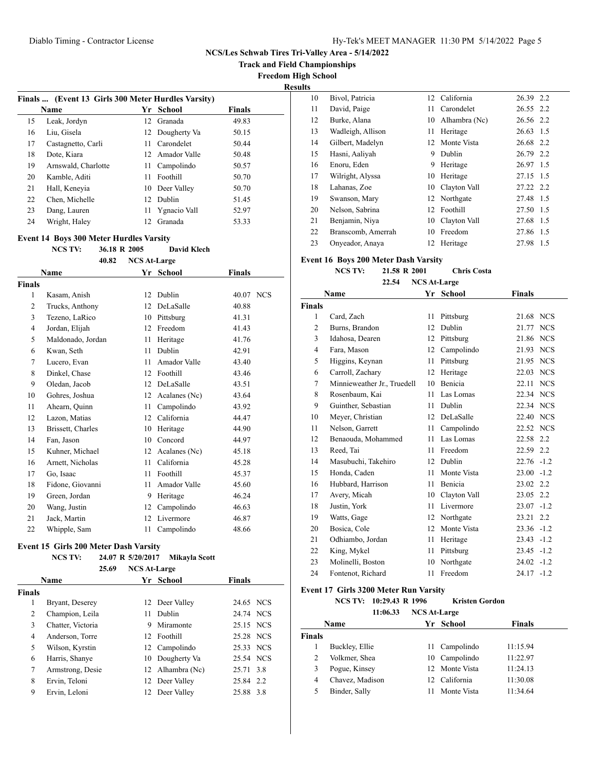**Track and Field Championships**

**Freedom High School**

**Results**

|    | Finals  (Event 13 Girls 300 Meter Hurdles Varsity) |                 |                  |               |
|----|----------------------------------------------------|-----------------|------------------|---------------|
|    | <b>Name</b>                                        | Yr              | School           | <b>Finals</b> |
| 15 | Leak, Jordyn                                       | 12 <sup>1</sup> | Granada          | 49.83         |
| 16 | Liu, Gisela                                        |                 | 12 Dougherty Va  | 50.15         |
| 17 | Castagnetto, Carli                                 |                 | 11 Carondelet    | 50.44         |
| 18 | Dote, Kiara                                        |                 | 12. Amador Valle | 50.48         |
| 19 | Arnswald, Charlotte                                | 11.             | Campolindo       | 50.57         |
| 20 | Kamble, Aditi                                      | 11              | Foothill         | 50.70         |
| 21 | Hall, Keneyia                                      | 10              | Deer Valley      | 50.70         |
| 22 | Chen, Michelle                                     | 12 <sup>1</sup> | Dublin           | 51.45         |
| 23 | Dang, Lauren                                       |                 | 11 Ygnacio Vall  | 52.97         |
| 24 | Wright, Haley                                      | 12.             | Granada          | 53.33         |

#### **Event 14 Boys 300 Meter Hurdles Varsity**

**NCS TV: 36.18 R 2005 David Klech**

|                | 40.82             | <b>NCS At-Large</b> |               |               |
|----------------|-------------------|---------------------|---------------|---------------|
|                | <b>Name</b>       | Yr                  | School        | <b>Finals</b> |
| <b>Finals</b>  |                   |                     |               |               |
| 1              | Kasam, Anish      | 12                  | Dublin        | 40.07 NCS     |
| 2              | Trucks, Anthony   | 12                  | DeLaSalle     | 40.88         |
| 3              | Tezeno, LaRico    | 10                  | Pittsburg     | 41.31         |
| $\overline{4}$ | Jordan, Elijah    | 12                  | Freedom       | 41.43         |
| 5              | Maldonado, Jordan | 11                  | Heritage      | 41.76         |
| 6              | Kwan, Seth        | 11                  | Dublin        | 42.91         |
| 7              | Lucero, Evan      | 11                  | Amador Valle  | 43.40         |
| 8              | Dinkel, Chase     | 12                  | Foothill      | 43.46         |
| 9              | Oledan, Jacob     | 12                  | DeLaSalle     | 43.51         |
| 10             | Gohres, Joshua    | 12                  | Acalanes (Nc) | 43.64         |
| 11             | Ahearn, Quinn     | 11                  | Campolindo    | 43.92         |
| 12             | Lazon, Matias     | 12                  | California    | 44.47         |
| 13             | Brissett, Charles | 10                  | Heritage      | 44.90         |
| 14             | Fan, Jason        | 10                  | Concord       | 44.97         |
| 15             | Kuhner, Michael   | 12                  | Acalanes (Nc) | 45.18         |
| 16             | Arnett, Nicholas  | 11                  | California    | 45.28         |
| 17             | Go, Isaac         | 11                  | Foothill      | 45.37         |
| 18             | Fidone, Giovanni  | 11                  | Amador Valle  | 45.60         |
| 19             | Green, Jordan     | 9                   | Heritage      | 46.24         |
| 20             | Wang, Justin      | 12                  | Campolindo    | 46.63         |
| 21             | Jack, Martin      | 12                  | Livermore     | 46.87         |
| 22             | Whipple, Sam      | 11                  | Campolindo    | 48.66         |
|                |                   |                     |               |               |

## **Event 15 Girls 200 Meter Dash Varsity**

# **NCS TV: 24.07 R 5/20/2017 Mikayla Scott**

| 25.69             |    |           |                                                                                                                                                            |                                                                                                      |
|-------------------|----|-----------|------------------------------------------------------------------------------------------------------------------------------------------------------------|------------------------------------------------------------------------------------------------------|
| Name              |    |           | <b>Finals</b>                                                                                                                                              |                                                                                                      |
|                   |    |           |                                                                                                                                                            |                                                                                                      |
| Bryant, Deserey   |    |           |                                                                                                                                                            |                                                                                                      |
| Champion, Leila   | 11 | Dublin    |                                                                                                                                                            |                                                                                                      |
| Chatter, Victoria | 9  | Miramonte |                                                                                                                                                            |                                                                                                      |
| Anderson, Torre   |    |           |                                                                                                                                                            |                                                                                                      |
| Wilson, Kyrstin   |    |           |                                                                                                                                                            |                                                                                                      |
| Harris, Shanye    |    |           |                                                                                                                                                            |                                                                                                      |
| Armstrong, Desie  |    |           |                                                                                                                                                            |                                                                                                      |
| Ervin, Teloni     |    |           |                                                                                                                                                            |                                                                                                      |
| Ervin. Leloni     | 12 |           | 25.88                                                                                                                                                      | 3.8                                                                                                  |
|                   |    |           | <b>NCS At-Large</b><br>Yr School<br>12 Deer Valley<br>12 Foothill<br>12 Campolindo<br>10 Dougherty Va<br>12 Alhambra (Nc)<br>12 Deer Valley<br>Deer Valley | 24.65 NCS<br>24.74 NCS<br>25.15 NCS<br>25.28 NCS<br>25.33 NCS<br>25.54 NCS<br>25.71 3.8<br>25.84 2.2 |

| ັ  |                    |    |                 |           |     |
|----|--------------------|----|-----------------|-----------|-----|
| 10 | Bivol, Patricia    |    | 12 California   | 26.39 2.2 |     |
| 11 | David, Paige       |    | 11 Carondelet   | 26.55 2.2 |     |
| 12 | Burke, Alana       | 10 | Alhambra (Nc)   | 26.56 2.2 |     |
| 13 | Wadleigh, Allison  | 11 | Heritage        | 26.63 1.5 |     |
| 14 | Gilbert, Madelyn   |    | 12 Monte Vista  | 26.68 2.2 |     |
| 15 | Hasni, Aaliyah     | 9  | Dublin          | 26.79 2.2 |     |
| 16 | Enoru, Eden        | 9  | Heritage        | 26.97 1.5 |     |
| 17 | Wilright, Alyssa   | 10 | Heritage        | 27.15 1.5 |     |
| 18 | Lahanas, Zoe       | 10 | Clayton Vall    | 27.22 2.2 |     |
| 19 | Swanson, Mary      |    | 12 Northgate    | 27.48 1.5 |     |
| 20 | Nelson, Sabrina    | 12 | <b>Foothill</b> | 27.50 1.5 |     |
| 21 | Benjamin, Niya     | 10 | Clayton Vall    | 27.68     | 1.5 |
| 22 | Branscomb, Amerrah | 10 | Freedom         | 27.86 1.5 |     |
| 23 | Onyeador, Anaya    | 12 | Heritage        | 27.98     | 1.5 |

## **Event 16 Boys 200 Meter Dash Varsity**

**NCS TV: 21.58 R 2001 Chris Costa 22.54 NCS At-Large**

| Name           |                             | Yr | <b>School</b>  | <b>Finals</b> |            |
|----------------|-----------------------------|----|----------------|---------------|------------|
| <b>Finals</b>  |                             |    |                |               |            |
| 1              | Card, Zach                  | 11 | Pittsburg      | 21.68 NCS     |            |
| $\overline{c}$ | Burns, Brandon              | 12 | Dublin         | 21.77         | <b>NCS</b> |
| 3              | Idahosa, Dearen             | 12 | Pittsburg      | 21.86         | <b>NCS</b> |
| 4              | Fara, Mason                 | 12 | Campolindo     | 21.93 NCS     |            |
| 5              | Higgins, Keynan             | 11 | Pittsburg      | 21.95         | <b>NCS</b> |
| 6              | Carroll, Zachary            | 12 | Heritage       | 22.03 NCS     |            |
| 7              | Minnieweather Jr., Truedell | 10 | <b>Benicia</b> | 22.11         | <b>NCS</b> |
| 8              | Rosenbaum, Kai              | 11 | Las Lomas      | 22.34 NCS     |            |
| 9              | Guinther, Sebastian         | 11 | Dublin         | 22.34 NCS     |            |
| 10             | Meyer, Christian            | 12 | DeLaSalle      | 22.40         | <b>NCS</b> |
| 11             | Nelson, Garrett             | 11 | Campolindo     | 22.52 NCS     |            |
| 12             | Benaouda, Mohammed          | 11 | Las Lomas      | 22.58         | 2.2        |
| 13             | Reed, Tai                   | 11 | Freedom        | 22.59 2.2     |            |
| 14             | Masubuchi, Takehiro         | 12 | Dublin         | $22.76 - 1.2$ |            |
| 15             | Honda, Caden                | 11 | Monte Vista    | $23.00 -1.2$  |            |
| 16             | Hubbard, Harrison           | 11 | Benicia        | 23.02         | 2.2        |
| 17             | Avery, Micah                | 10 | Clayton Vall   | 23.05         | 2.2        |
| 18             | Justin, York                | 11 | Livermore      | $23.07 -1.2$  |            |
| 19             | Watts, Gage                 | 12 | Northgate      | 23.21         | 2.2        |
| 20             | Bosica, Cole                | 12 | Monte Vista    | $23.36 -1.2$  |            |
| 21             | Odhiambo, Jordan            | 11 | Heritage       | 23.43         | $-1.2$     |
| 22             | King, Mykel                 | 11 | Pittsburg      | $23.45 -1.2$  |            |
| 23             | Molinelli, Boston           | 10 | Northgate      | $24.02 -1.2$  |            |
| 24             | Fontenot, Richard           | 11 | Freedom        | $24.17 - 1.2$ |            |
|                |                             |    |                |               |            |

### **Event 17 Girls 3200 Meter Run Varsity**

**NCS TV: 10:29.43 R 1996 Kristen Gordon**

**11:06.33 NCS At-Large**

| <b>Name</b>   |                 | Yr School      | <b>Finals</b> |  |
|---------------|-----------------|----------------|---------------|--|
| <b>Finals</b> |                 |                |               |  |
|               | Buckley, Ellie  | 11 Campolindo  | 11:15.94      |  |
| 2             | Volkmer, Shea   | 10 Campolindo  | 11:22.97      |  |
| 3             | Pogue, Kinsey   | 12 Monte Vista | 11:24.13      |  |
| 4             | Chavez, Madison | California     | 11:30.08      |  |
|               | Binder, Sally   | Monte Vista    | 11:34.64      |  |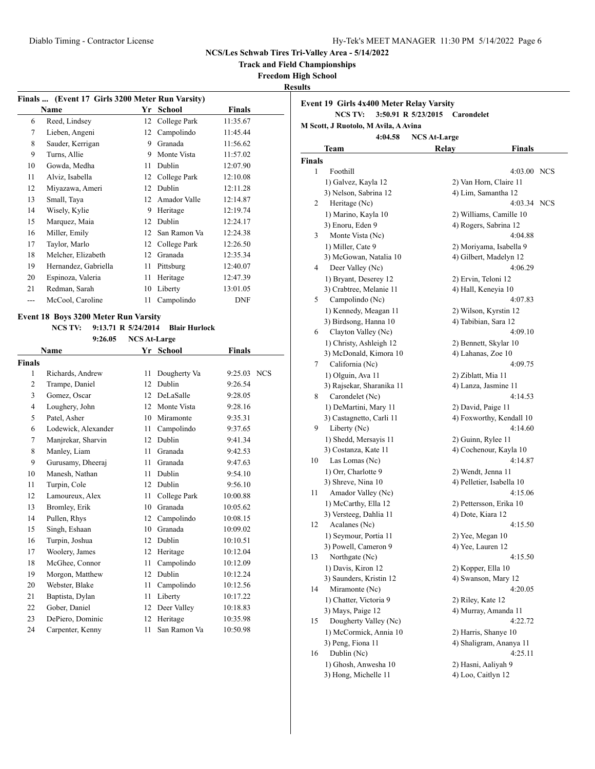**Track and Field Championships**

**Freedom High School**

**Results**

|    | Finals  (Event 17 Girls 3200 Meter Run Varsity) |    |              |               |  |  |  |  |
|----|-------------------------------------------------|----|--------------|---------------|--|--|--|--|
|    | Name                                            |    | Yr School    | <b>Finals</b> |  |  |  |  |
| 6  | Reed, Lindsey                                   | 12 | College Park | 11:35.67      |  |  |  |  |
| 7  | Lieben, Angeni                                  | 12 | Campolindo   | 11:45.44      |  |  |  |  |
| 8  | Sauder, Kerrigan                                | 9  | Granada      | 11:56.62      |  |  |  |  |
| 9  | Turns, Allie                                    | 9  | Monte Vista  | 11:57.02      |  |  |  |  |
| 10 | Gowda, Medha                                    | 11 | Dublin       | 12:07.90      |  |  |  |  |
| 11 | Alviz, Isabella                                 | 12 | College Park | 12:10.08      |  |  |  |  |
| 12 | Miyazawa, Ameri                                 | 12 | Dublin       | 12:11.28      |  |  |  |  |
| 13 | Small, Taya                                     | 12 | Amador Valle | 12:14.87      |  |  |  |  |
| 14 | Wisely, Kylie                                   | 9  | Heritage     | 12:19.74      |  |  |  |  |
| 15 | Marquez, Maia                                   | 12 | Dublin       | 12:24.17      |  |  |  |  |
| 16 | Miller, Emily                                   | 12 | San Ramon Va | 12:24.38      |  |  |  |  |
| 17 | Taylor, Marlo                                   | 12 | College Park | 12:26.50      |  |  |  |  |
| 18 | Melcher, Elizabeth                              | 12 | Granada      | 12:35.34      |  |  |  |  |
| 19 | Hernandez, Gabriella                            | 11 | Pittsburg    | 12:40.07      |  |  |  |  |
| 20 | Espinoza, Valeria                               | 11 | Heritage     | 12:47.39      |  |  |  |  |
| 21 | Redman, Sarah                                   | 10 | Liberty      | 13:01.05      |  |  |  |  |
|    | McCool, Caroline                                | 11 | Campolindo   | <b>DNF</b>    |  |  |  |  |
|    |                                                 |    |              |               |  |  |  |  |

# **Event 18 Boys 3200 Meter Run Varsity**

**NCS TV: 9:13.71 R 5/24/2014 Blair Hurlock 9:26.05 NCS At-Large**

|                | 9:26.05             | <b>NCS At-Large</b> |              |             |  |
|----------------|---------------------|---------------------|--------------|-------------|--|
|                | Name                |                     | Yr School    | Finals      |  |
| <b>Finals</b>  |                     |                     |              |             |  |
| 1              | Richards, Andrew    | 11                  | Dougherty Va | 9:25.03 NCS |  |
| $\overline{2}$ | Trampe, Daniel      | 12                  | Dublin       | 9:26.54     |  |
| 3              | Gomez, Oscar        | 12                  | DeLaSalle    | 9:28.05     |  |
| $\overline{4}$ | Loughery, John      | 12                  | Monte Vista  | 9:28.16     |  |
| 5              | Patel, Asher        | 10                  | Miramonte    | 9:35.31     |  |
| 6              | Lodewick, Alexander | 11                  | Campolindo   | 9:37.65     |  |
| 7              | Manjrekar, Sharvin  | 12                  | Dublin       | 9:41.34     |  |
| 8              | Manley, Liam        | 11                  | Granada      | 9:42.53     |  |
| 9              | Gurusamy, Dheeraj   | 11                  | Granada      | 9:47.63     |  |
| 10             | Manesh, Nathan      | 11                  | Dublin       | 9:54.10     |  |
| 11             | Turpin, Cole        | 12                  | Dublin       | 9:56.10     |  |
| 12             | Lamoureux, Alex     | 11                  | College Park | 10:00.88    |  |
| 13             | Bromley, Erik       | 10                  | Granada      | 10:05.62    |  |
| 14             | Pullen, Rhys        | 12                  | Campolindo   | 10:08.15    |  |
| 15             | Singh, Eshaan       | 10                  | Granada      | 10:09.02    |  |
| 16             | Turpin, Joshua      | 12                  | Dublin       | 10:10.51    |  |
| 17             | Woolery, James      | 12                  | Heritage     | 10:12.04    |  |
| 18             | McGhee, Connor      | 11                  | Campolindo   | 10:12.09    |  |
| 19             | Morgon, Matthew     | 12                  | Dublin       | 10:12.24    |  |
| 20             | Webster, Blake      | 11                  | Campolindo   | 10:12.56    |  |
| 21             | Baptista, Dylan     | 11                  | Liberty      | 10:17.22    |  |
| 22             | Gober, Daniel       | 12                  | Deer Valley  | 10:18.83    |  |
| 23             | DePiero, Dominic    | 12                  | Heritage     | 10:35.98    |  |
| 24             | Carpenter, Kenny    | 11                  | San Ramon Va | 10:50.98    |  |
|                |                     |                     |              |             |  |

| <b>Event 19 Girls 4x400 Meter Relay Varsity</b><br><b>NCS TV:</b><br>3:50.91 R 5/23/2015<br>Carondelet |                                                |                                               |             |  |  |  |  |
|--------------------------------------------------------------------------------------------------------|------------------------------------------------|-----------------------------------------------|-------------|--|--|--|--|
| M Scott, J Ruotolo, M Avila, A Avina                                                                   |                                                |                                               |             |  |  |  |  |
| <b>NCS At-Large</b><br>4:04.58                                                                         |                                                |                                               |             |  |  |  |  |
|                                                                                                        | Team                                           | Relay                                         | Finals      |  |  |  |  |
| <b>Finals</b>                                                                                          |                                                |                                               |             |  |  |  |  |
| 1                                                                                                      | Foothill                                       |                                               | 4:03.00 NCS |  |  |  |  |
|                                                                                                        | 1) Galvez, Kayla 12                            | 2) Van Horn, Claire 11                        |             |  |  |  |  |
|                                                                                                        | 3) Nelson, Sabrina 12                          | 4) Lim, Samantha 12                           |             |  |  |  |  |
| 2                                                                                                      | Heritage (Nc)                                  |                                               | 4:03.34 NCS |  |  |  |  |
|                                                                                                        | 1) Marino, Kayla 10                            | 2) Williams, Camille 10                       |             |  |  |  |  |
|                                                                                                        | 3) Enoru, Eden 9                               | 4) Rogers, Sabrina 12                         |             |  |  |  |  |
| 3                                                                                                      | Monte Vista (Nc)                               |                                               | 4:04.88     |  |  |  |  |
|                                                                                                        | 1) Miller, Cate 9                              | 2) Moriyama, Isabella 9                       |             |  |  |  |  |
|                                                                                                        | 3) McGowan, Natalia 10                         | 4) Gilbert, Madelyn 12                        |             |  |  |  |  |
| 4                                                                                                      | Deer Valley (Nc)                               |                                               | 4:06.29     |  |  |  |  |
|                                                                                                        | 1) Bryant, Deserey 12                          | 2) Ervin, Teloni 12                           |             |  |  |  |  |
|                                                                                                        | 3) Crabtree, Melanie 11<br>Campolindo (Nc)     | 4) Hall, Keneyia 10                           |             |  |  |  |  |
| 5                                                                                                      |                                                |                                               | 4:07.83     |  |  |  |  |
|                                                                                                        | 1) Kennedy, Meagan 11<br>3) Birdsong, Hanna 10 | 2) Wilson, Kyrstin 12<br>4) Tabibian, Sara 12 |             |  |  |  |  |
| 6                                                                                                      | Clayton Valley (Nc)                            |                                               | 4:09.10     |  |  |  |  |
|                                                                                                        | 1) Christy, Ashleigh 12                        | 2) Bennett, Skylar 10                         |             |  |  |  |  |
|                                                                                                        | 3) McDonald, Kimora 10                         | 4) Lahanas, Zoe 10                            |             |  |  |  |  |
| 7                                                                                                      | California (Nc)                                |                                               | 4:09.75     |  |  |  |  |
|                                                                                                        | 1) Olguin, Ava 11                              | 2) Ziblatt, Mia 11                            |             |  |  |  |  |
|                                                                                                        | 3) Rajsekar, Sharanika 11                      | 4) Lanza, Jasmine 11                          |             |  |  |  |  |
| 8                                                                                                      | Carondelet (Nc)                                |                                               | 4:14.53     |  |  |  |  |
|                                                                                                        | 1) DeMartini, Mary 11                          | 2) David, Paige 11                            |             |  |  |  |  |
|                                                                                                        | 3) Castagnetto, Carli 11                       | 4) Foxworthy, Kendall 10                      |             |  |  |  |  |
| 9                                                                                                      | Liberty (Nc)                                   |                                               | 4:14.60     |  |  |  |  |
|                                                                                                        | 1) Shedd, Mersayis 11                          | 2) Guinn, Rylee 11                            |             |  |  |  |  |
|                                                                                                        | 3) Costanza, Kate 11                           | 4) Cochenour, Kayla 10                        |             |  |  |  |  |
| 10                                                                                                     | Las Lomas (Nc)                                 |                                               | 4:14.87     |  |  |  |  |
|                                                                                                        | 1) Orr, Charlotte 9                            | 2) Wendt, Jenna 11                            |             |  |  |  |  |
|                                                                                                        | 3) Shreve, Nina 10                             | 4) Pelletier, Isabella 10                     |             |  |  |  |  |
| 11                                                                                                     | Amador Valley (Nc)                             |                                               | 4:15.06     |  |  |  |  |
|                                                                                                        | 1) McCarthy, Ella 12                           | 2) Pettersson, Erika 10                       |             |  |  |  |  |
|                                                                                                        | 3) Versteeg, Dahlia 11                         | 4) Dote, Kiara 12                             |             |  |  |  |  |
| 12                                                                                                     | Acalanes (Nc)                                  |                                               | 4:15.50     |  |  |  |  |
|                                                                                                        | 1) Seymour, Portia 11                          | 2) Yee, Megan 10                              |             |  |  |  |  |
|                                                                                                        | 3) Powell, Cameron 9                           | 4) Yee, Lauren 12                             |             |  |  |  |  |
| 13                                                                                                     | Northgate (Nc)                                 |                                               | 4:15.50     |  |  |  |  |
|                                                                                                        | 1) Davis, Kiron 12                             | 2) Kopper, Ella 10                            |             |  |  |  |  |
|                                                                                                        | 3) Saunders, Kristin 12                        | 4) Swanson, Mary 12                           |             |  |  |  |  |
| 14                                                                                                     | Miramonte (Nc)                                 |                                               | 4:20.05     |  |  |  |  |
|                                                                                                        | 1) Chatter, Victoria 9                         | 2) Riley, Kate 12                             |             |  |  |  |  |
|                                                                                                        | 3) Mays, Paige 12                              | 4) Murray, Amanda 11                          |             |  |  |  |  |
| 15                                                                                                     | Dougherty Valley (Nc)                          |                                               | 4:22.72     |  |  |  |  |
|                                                                                                        | 1) McCormick, Annia 10                         | 2) Harris, Shanye 10                          |             |  |  |  |  |
|                                                                                                        | 3) Peng, Fiona 11                              | 4) Shaligram, Ananya 11                       |             |  |  |  |  |
| 16                                                                                                     | Dublin (Nc)                                    |                                               | 4:25.11     |  |  |  |  |
|                                                                                                        | 1) Ghosh, Anwesha 10                           | 2) Hasni, Aaliyah 9                           |             |  |  |  |  |
|                                                                                                        | 3) Hong, Michelle 11                           | 4) Loo, Caitlyn 12                            |             |  |  |  |  |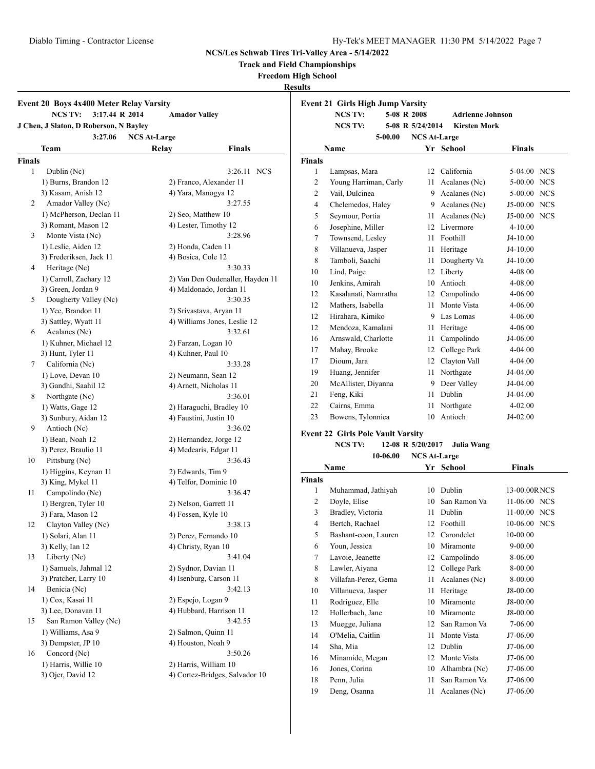**Track and Field Championships**

**Freedom High School**

**Results**

|                    | <b>NCS TV:</b><br>3:17.44 R 2014            | <b>Amador Valley</b>   |                                                         |
|--------------------|---------------------------------------------|------------------------|---------------------------------------------------------|
|                    | J Chen, J Slaton, D Roberson, N Bayley      |                        |                                                         |
|                    | 3:27.06                                     | <b>NCS At-Large</b>    |                                                         |
|                    | Team                                        | <b>Relay</b>           | <b>Finals</b>                                           |
| <b>Finals</b><br>1 |                                             |                        | NCS                                                     |
|                    | Dublin (Nc)                                 |                        | 3:26.11                                                 |
|                    | 1) Burns, Brandon 12                        |                        | 2) Franco, Alexander 11                                 |
| 2                  | 3) Kasam, Anish 12<br>Amador Valley (Nc)    | 4) Yara, Manogya 12    | 3:27.55                                                 |
|                    | 1) McPherson, Declan 11                     |                        |                                                         |
|                    | 3) Romant, Mason 12                         | 2) Seo, Matthew 10     | 4) Lester, Timothy 12                                   |
| 3                  | Monte Vista (Nc)                            |                        | 3:28.96                                                 |
|                    |                                             |                        |                                                         |
|                    | 1) Leslie, Aiden 12                         | 2) Honda, Caden 11     |                                                         |
| 4                  | 3) Frederiksen, Jack 11<br>Heritage (Nc)    | 4) Bosica, Cole 12     | 3:30.33                                                 |
|                    |                                             |                        |                                                         |
|                    | 1) Carroll, Zachary 12                      |                        | 2) Van Den Oudenaller, Hayden 11                        |
|                    | 3) Green, Jordan 9                          |                        | 4) Maldonado, Jordan 11<br>3:30.35                      |
| 5                  | Dougherty Valley (Nc)<br>1) Yee, Brandon 11 |                        |                                                         |
|                    |                                             |                        | 2) Srivastava, Aryan 11<br>4) Williams Jones, Leslie 12 |
|                    | 3) Sattley, Wyatt 11                        |                        | 3:32.61                                                 |
| 6                  | Acalanes (Nc)                               |                        |                                                         |
|                    | 1) Kuhner, Michael 12                       | 2) Farzan, Logan 10    |                                                         |
|                    | 3) Hunt, Tyler 11                           | 4) Kuhner, Paul 10     |                                                         |
| 7                  | California (Nc)                             |                        | 3:33.28                                                 |
|                    | 1) Love, Devan 10                           |                        | 2) Neumann, Sean 12                                     |
|                    | 3) Gandhi, Saahil 12                        |                        | 4) Arnett, Nicholas 11                                  |
| 8                  | Northgate (Nc)                              |                        | 3:36.01                                                 |
|                    | 1) Watts, Gage 12                           |                        | 2) Haraguchi, Bradley 10                                |
|                    | 3) Sunbury, Aidan 12                        | 4) Faustini, Justin 10 |                                                         |
| 9                  | Antioch (Nc)                                |                        | 3:36.02                                                 |
|                    | 1) Bean, Noah 12                            |                        | 2) Hernandez, Jorge 12                                  |
|                    | 3) Perez, Braulio 11                        |                        | 4) Medearis, Edgar 11                                   |
| 10                 | Pittsburg (Nc)                              |                        | 3:36.43                                                 |
|                    | 1) Higgins, Keynan 11                       | 2) Edwards, Tim 9      |                                                         |
|                    | 3) King, Mykel 11                           |                        | 4) Telfor, Dominic 10                                   |
| 11                 | Campolindo (Nc)                             |                        | 3:36.47                                                 |
|                    | 1) Bergren, Tyler 10                        | 2) Nelson, Garrett 11  |                                                         |
|                    | 3) Fara, Mason 12                           | 4) Fossen, Kyle 10     |                                                         |
| 12                 | Clayton Valley (Nc)                         |                        | 3:38.13                                                 |
|                    | 1) Solari, Alan 11                          |                        | 2) Perez, Fernando 10                                   |
|                    | 3) Kelly, Ian 12                            | 4) Christy, Ryan 10    |                                                         |
| 13                 | Liberty (Nc)                                |                        | 3:41.04                                                 |
|                    | 1) Samuels, Jahmal 12                       | 2) Sydnor, Davian 11   |                                                         |
|                    | 3) Pratcher, Larry 10                       |                        | 4) Isenburg, Carson 11                                  |
| 14                 | Benicia (Nc)                                |                        | 3:42.13                                                 |
|                    | 1) Cox, Kasai 11                            | 2) Espejo, Logan 9     |                                                         |
|                    | 3) Lee, Donavan 11                          |                        | 4) Hubbard, Harrison 11                                 |
| 15                 | San Ramon Valley (Nc)                       |                        | 3:42.55                                                 |
|                    | 1) Williams, Asa 9                          | 2) Salmon, Quinn 11    |                                                         |
|                    | 3) Dempster, JP 10                          | 4) Houston, Noah 9     |                                                         |
| 16                 | Concord (Nc)                                |                        | 3:50.26                                                 |
|                    | 1) Harris, Willie 10                        | 2) Harris, William 10  |                                                         |
|                    | 3) Ojer, David 12                           |                        | 4) Cortez-Bridges, Salvador 10                          |

| <b>Event 21 Girls High Jump Varsity</b> |                       |                     |                         |                          |  |  |  |
|-----------------------------------------|-----------------------|---------------------|-------------------------|--------------------------|--|--|--|
|                                         | <b>NCS TV:</b>        | 5-08 R 2008         | <b>Adrienne Johnson</b> |                          |  |  |  |
|                                         | <b>NCS TV:</b>        | 5-08 R 5/24/2014    | <b>Kirsten Mork</b>     |                          |  |  |  |
|                                         | $5 - 00.00$           | <b>NCS At-Large</b> |                         |                          |  |  |  |
|                                         | Name                  |                     | Yr School               | <b>Finals</b>            |  |  |  |
| <b>Finals</b>                           |                       |                     |                         |                          |  |  |  |
| 1                                       | Lampsas, Mara         | 12                  | California              | <b>NCS</b><br>$5-04.00$  |  |  |  |
| 2                                       | Young Harriman, Carly | 11                  | Acalanes (Nc)           | $5-00.00$<br><b>NCS</b>  |  |  |  |
| 2                                       | Vail, Dulcinea        | 9.                  | Acalanes (Nc)           | 5-00.00 NCS              |  |  |  |
| $\overline{4}$                          | Chelemedos, Haley     | 9                   | Acalanes (Nc)           | <b>NCS</b><br>$J5-00.00$ |  |  |  |
| 5                                       | Seymour, Portia       | 11                  | Acalanes (Nc)           | J5-00.00<br><b>NCS</b>   |  |  |  |
| 6                                       | Josephine, Miller     | 12                  | Livermore               | $4 - 10.00$              |  |  |  |
| 7                                       | Townsend, Lesley      | 11                  | Foothill                | J4-10.00                 |  |  |  |
| 8                                       | Villanueva, Jasper    | 11                  | Heritage                | $J4-10.00$               |  |  |  |
| 8                                       | Tamboli, Saachi       | 11                  | Dougherty Va            | J4-10.00                 |  |  |  |
| 10                                      | Lind, Paige           | 12                  | Liberty                 | 4-08.00                  |  |  |  |
| 10                                      | Jenkins, Amirah       | 10                  | Antioch                 | 4-08.00                  |  |  |  |
| 12                                      | Kasalanati, Namratha  | 12                  | Campolindo              | 4-06.00                  |  |  |  |
| 12                                      | Mathers, Isabella     | 11                  | Monte Vista             | $4 - 06.00$              |  |  |  |
| 12                                      | Hirahara, Kimiko      | 9                   | Las Lomas               | $4 - 06.00$              |  |  |  |
| 12                                      | Mendoza, Kamalani     | 11                  | Heritage                | 4-06.00                  |  |  |  |
| 16                                      | Arnswald, Charlotte   | 11                  | Campolindo              | J4-06.00                 |  |  |  |
| 17                                      | Mahay, Brooke         | 12                  | College Park            | 4-04.00                  |  |  |  |
| 17                                      | Dioum, Jara           | 12                  | Clayton Vall            | 4-04.00                  |  |  |  |
| 19                                      | Huang, Jennifer       | 11                  | Northgate               | J4-04.00                 |  |  |  |
| 20                                      | McAllister, Diyanna   | 9                   | Deer Valley             | J4-04.00                 |  |  |  |
| 21                                      | Feng, Kiki            | 11                  | Dublin                  | J4-04.00                 |  |  |  |
| 22                                      | Cairns, Emma          | 11                  | Northgate               | $4 - 02.00$              |  |  |  |
| 23                                      | Bowens, Tylonniea     | 10                  | Antioch                 | J4-02.00                 |  |  |  |
|                                         |                       |                     |                         |                          |  |  |  |

#### **Event 22 Girls Pole Vault Varsity**

**NCS TV: 12-08 R 5/20/2017 Julia Wang**

**10-06.00 NCS At-Large**

| Name           |                      | Yr | <b>School</b> | <b>Finals</b> |
|----------------|----------------------|----|---------------|---------------|
| Finals         |                      |    |               |               |
| 1              | Muhammad, Jathiyah   | 10 | Dublin        | 13-00.00RNCS  |
| $\overline{c}$ | Doyle, Elise         | 10 | San Ramon Va  | 11-06.00 NCS  |
| 3              | Bradley, Victoria    | 11 | Dublin        | 11-00.00 NCS  |
| 4              | Bertch, Rachael      | 12 | Foothill      | 10-06.00 NCS  |
| 5              | Bashant-coon, Lauren | 12 | Carondelet    | 10-00.00      |
| 6              | Youn, Jessica        | 10 | Miramonte     | $9 - 00.00$   |
| 7              | Lavoie, Jeanette     | 12 | Campolindo    | 8-06.00       |
| 8              | Lawler, Aiyana       | 12 | College Park  | 8-00.00       |
| 8              | Villafan-Perez, Gema | 11 | Acalanes (Nc) | 8-00.00       |
| 10             | Villanueva, Jasper   | 11 | Heritage      | J8-00.00      |
| 11             | Rodriguez, Elle      | 10 | Miramonte     | J8-00.00      |
| 12             | Hollerbach, Jane     | 10 | Miramonte     | J8-00.00      |
| 13             | Muegge, Juliana      | 12 | San Ramon Va  | 7-06.00       |
| 14             | O'Melia, Caitlin     | 11 | Monte Vista   | J7-06.00      |
| 14             | Sha, Mia             | 12 | Dublin        | J7-06.00      |
| 16             | Minamide, Megan      | 12 | Monte Vista   | J7-06.00      |
| 16             | Jones, Corina        | 10 | Alhambra (Nc) | J7-06.00      |
| 18             | Penn, Julia          | 11 | San Ramon Va  | J7-06.00      |
| 19             | Deng, Osanna         | 11 | Acalanes (Nc) | J7-06.00      |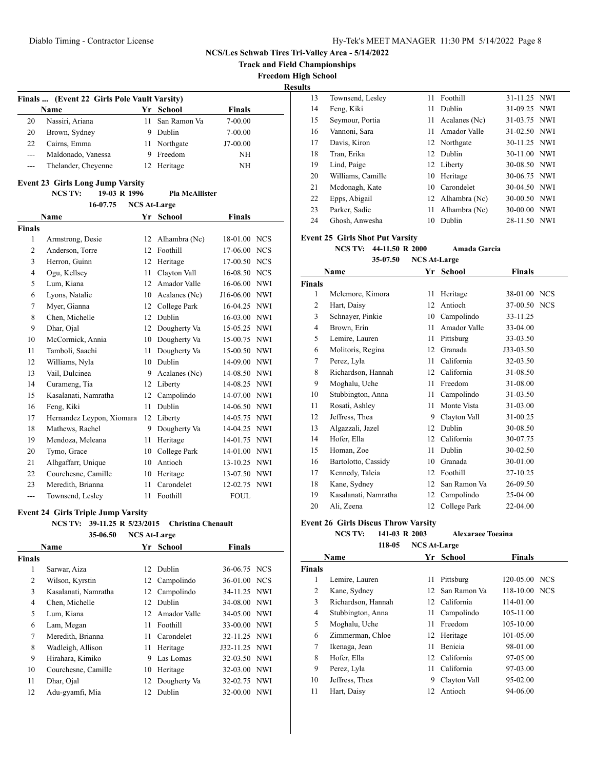**NCS/Les Schwab Tires Tri-Valley Area - 5/14/2022 Track and Field Championships**

**Freedom High School**

**Results**

|         | Finals  (Event 22 Girls Pole Vault Varsity) |    |              |               |  |  |  |  |
|---------|---------------------------------------------|----|--------------|---------------|--|--|--|--|
|         | <b>Name</b>                                 |    | Yr School    | <b>Finals</b> |  |  |  |  |
| 20      | Nassiri, Ariana                             | 11 | San Ramon Va | $7 - 00.00$   |  |  |  |  |
| 20      | Brown, Sydney                               |    | Dublin       | $7 - 00.00$   |  |  |  |  |
| 22      | Cairns, Emma                                | Н  | Northgate    | J7-00.00      |  |  |  |  |
| $- - -$ | Maldonado, Vanessa                          |    | Freedom      | NH            |  |  |  |  |
| ---     | Thelander, Cheyenne                         |    | 12 Heritage  | NΗ            |  |  |  |  |

## **Event 23 Girls Long Jump Varsity**

### **NCS TV: 19-03 R 1996 Pia McAllister 16-07.75 NCS At-Large**

|                | <b>Name</b>               | Yr | <b>School</b> | <b>Finals</b> |            |
|----------------|---------------------------|----|---------------|---------------|------------|
| Finals         |                           |    |               |               |            |
| 1              | Armstrong, Desie          | 12 | Alhambra (Nc) | 18-01.00      | <b>NCS</b> |
| 2              | Anderson, Torre           | 12 | Foothill      | 17-06.00      | <b>NCS</b> |
| 3              | Herron, Guinn             | 12 | Heritage      | 17-00.50      | <b>NCS</b> |
| $\overline{4}$ | Ogu, Kellsey              | 11 | Clayton Vall  | 16-08.50      | <b>NCS</b> |
| 5              | Lum. Kiana                | 12 | Amador Valle  | 16-06.00      | <b>NWI</b> |
| 6              | Lyons, Natalie            | 10 | Acalanes (Nc) | J16-06.00     | <b>NWI</b> |
| 7              | Myer, Gianna              | 12 | College Park  | 16-04.25 NWI  |            |
| 8              | Chen, Michelle            | 12 | Dublin        | $16-03.00$    | <b>NWI</b> |
| 9              | Dhar, Ojal                | 12 | Dougherty Va  | 15-05.25      | <b>NWI</b> |
| 10             | McCormick, Annia          | 10 | Dougherty Va  | 15-00.75      | <b>NWI</b> |
| 11             | Tamboli, Saachi           | 11 | Dougherty Va  | 15-00.50      | <b>NWI</b> |
| 12             | Williams, Nyla            | 10 | Dublin        | 14-09.00      | <b>NWI</b> |
| 13             | Vail, Dulcinea            | 9  | Acalanes (Nc) | 14-08.50      | <b>NWI</b> |
| 14             | Curameng, Tia             | 12 | Liberty       | 14-08.25 NWI  |            |
| 15             | Kasalanati, Namratha      | 12 | Campolindo    | 14-07.00      | <b>NWI</b> |
| 16             | Feng, Kiki                | 11 | <b>Dublin</b> | 14-06.50      | <b>NWI</b> |
| 17             | Hernandez Leypon, Xiomara | 12 | Liberty       | 14-05.75      | <b>NWI</b> |
| 18             | Mathews, Rachel           | 9  | Dougherty Va  | 14-04.25      | <b>NWI</b> |
| 19             | Mendoza, Meleana          | 11 | Heritage      | 14-01.75      | <b>NWI</b> |
| 20             | Tymo, Grace               | 10 | College Park  | 14-01.00      | <b>NWI</b> |
| 21             | Alhgaffarr, Unique        | 10 | Antioch       | 13-10.25 NWI  |            |
| 22             | Courchesne, Camille       | 10 | Heritage      | 13-07.50      | <b>NWI</b> |
| 23             | Meredith, Brianna         | 11 | Carondelet    | 12-02.75      | <b>NWI</b> |
| $---$          | Townsend, Lesley          | 11 | Foothill      | <b>FOUL</b>   |            |

## **Event 24 Girls Triple Jump Varsity**

## **NCS TV: 39-11.25 R 5/23/2015 Christina Chenault**

|                | 35-06.50             | <b>NCS At-Large</b> |               |               |  |
|----------------|----------------------|---------------------|---------------|---------------|--|
|                | Name                 |                     | Yr School     | <b>Finals</b> |  |
| <b>Finals</b>  |                      |                     |               |               |  |
| 1              | Sarwar, Aiza         | 12                  | Dublin        | 36-06.75 NCS  |  |
| 2              | Wilson, Kyrstin      |                     | 12 Campolindo | 36-01.00 NCS  |  |
| 3              | Kasalanati, Namratha | 12                  | Campolindo    | 34-11.25 NWI  |  |
| $\overline{4}$ | Chen, Michelle       | 12                  | Dublin        | 34-08.00 NWI  |  |
| 5              | Lum, Kiana           | 12                  | Amador Valle  | 34-05.00 NWI  |  |
| 6              | Lam, Megan           | 11                  | Foothill      | 33-00.00 NWI  |  |
| 7              | Meredith, Brianna    | 11                  | Carondelet    | 32-11.25 NWI  |  |
| 8              | Wadleigh, Allison    | 11                  | Heritage      | J32-11.25 NWI |  |
| 9              | Hirahara, Kimiko     | 9                   | Las Lomas     | 32-03.50 NWI  |  |
| 10             | Courchesne, Camille  | 10                  | Heritage      | 32-03.00 NWI  |  |
| 11             | Dhar, Ojal           | 12                  | Dougherty Va  | 32-02.75 NWI  |  |
| 12             | Adu-gyamfi, Mia      | 12                  | Dublin        | 32-00.00 NWI  |  |

| 13 | Townsend, Lesley  | 11 | Foothill         | 31-11.25 NWI |  |
|----|-------------------|----|------------------|--------------|--|
| 14 | Feng, Kiki        | 11 | Dublin           | 31-09.25 NWI |  |
| 15 | Seymour, Portia   | 11 | Acalanes (Nc)    | 31-03.75 NWI |  |
| 16 | Vannoni, Sara     | 11 | Amador Valle     | 31-02.50 NWI |  |
| 17 | Davis, Kiron      |    | 12 Northgate     | 30-11.25 NWI |  |
| 18 | Tran, Erika       |    | 12 Dublin        | 30-11.00 NWI |  |
| 19 | Lind, Paige       |    | 12 Liberty       | 30-08.50 NWI |  |
| 20 | Williams, Camille | 10 | Heritage         | 30-06.75 NWI |  |
| 21 | Mcdonagh, Kate    |    | 10 Carondelet    | 30-04.50 NWI |  |
| 22 | Epps, Abigail     |    | 12 Alhambra (Nc) | 30-00.50 NWI |  |
| 23 | Parker, Sadie     | 11 | Alhambra (Nc)    | 30-00.00 NWI |  |
| 24 | Ghosh, Anwesha    | 10 | Dublin           | 28-11.50 NWI |  |

### **Event 25 Girls Shot Put Varsity**

**NCS TV: 44-11.50 R 2000 Amada Garcia**

**35-07.50 NCS At-Large**

| <b>Name</b>    |                      | Yr | <b>School</b> | Finals    |            |
|----------------|----------------------|----|---------------|-----------|------------|
| Finals         |                      |    |               |           |            |
| 1              | Mclemore, Kimora     | 11 | Heritage      | 38-01.00  | <b>NCS</b> |
| 2              | Hart, Daisy          | 12 | Antioch       | 37-00.50  | <b>NCS</b> |
| 3              | Schnayer, Pinkie     | 10 | Campolindo    | 33-11.25  |            |
| $\overline{4}$ | Brown, Erin          | 11 | Amador Valle  | 33-04.00  |            |
| 5              | Lemire, Lauren       | 11 | Pittsburg     | 33-03.50  |            |
| 6              | Molitoris, Regina    | 12 | Granada       | J33-03.50 |            |
| 7              | Perez, Lyla          | 11 | California    | 32-03.50  |            |
| 8              | Richardson, Hannah   | 12 | California    | 31-08.50  |            |
| 9              | Moghalu, Uche        | 11 | Freedom       | 31-08.00  |            |
| 10             | Stubbington, Anna    | 11 | Campolindo    | 31-03.50  |            |
| 11             | Rosati, Ashley       | 11 | Monte Vista   | 31-03.00  |            |
| 12             | Jeffress, Thea       | 9  | Clayton Vall  | 31-00.25  |            |
| 13             | Algazzali, Jazel     | 12 | Dublin        | 30-08.50  |            |
| 14             | Hofer, Ella          | 12 | California    | 30-07.75  |            |
| 15             | Homan, Zoe           | 11 | Dublin        | 30-02.50  |            |
| 16             | Bartolotto, Cassidy  | 10 | Granada       | 30-01.00  |            |
| 17             | Kennedy, Taleia      | 12 | Foothill      | 27-10.25  |            |
| 18             | Kane, Sydney         | 12 | San Ramon Va  | 26-09.50  |            |
| 19             | Kasalanati, Namratha | 12 | Campolindo    | 25-04.00  |            |
| 20             | Ali, Zeena           | 12 | College Park  | 22-04.00  |            |
|                |                      |    |               |           |            |

## **Event 26 Girls Discus Throw Varsity**

**NCS TV: 141-03 R 2003 Alexaraee Toeaina 118-05 NCS At-Large**

|               | Name               |    | Yr School       | <b>Finals</b> |  |
|---------------|--------------------|----|-----------------|---------------|--|
| <b>Finals</b> |                    |    |                 |               |  |
| 1             | Lemire, Lauren     | 11 | Pittsburg       | 120-05.00 NCS |  |
| 2             | Kane, Sydney       |    | 12 San Ramon Va | 118-10.00 NCS |  |
| 3             | Richardson, Hannah |    | 12 California   | 114-01.00     |  |
| 4             | Stubbington, Anna  |    | 11 Campolindo   | 105-11.00     |  |
| 5             | Moghalu, Uche      | 11 | Freedom         | 105-10.00     |  |
| 6             | Zimmerman, Chloe   | 12 | Heritage        | 101-05.00     |  |
| 7             | Ikenaga, Jean      | 11 | Benicia         | 98-01.00      |  |
| 8             | Hofer, Ella        |    | 12 California   | 97-05.00      |  |
| 9             | Perez, Lyla        | 11 | California      | 97-03.00      |  |
| 10            | Jeffress, Thea     | 9  | Clayton Vall    | 95-02.00      |  |
| 11            | Hart, Daisy        | 12 | Antioch         | 94-06.00      |  |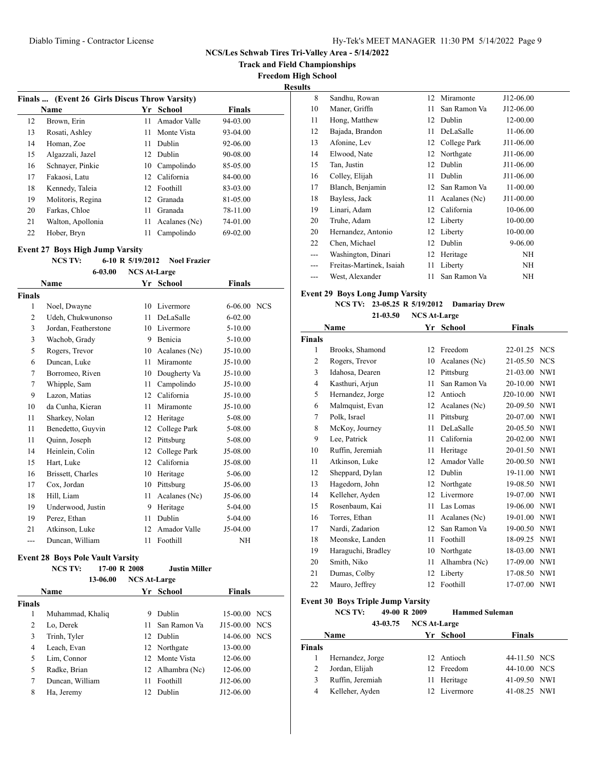**Track and Field Championships**

**Freedom High School**

**Results**

|    | Finals  (Event 26 Girls Discus Throw Varsity) |                 |               |               |  |  |  |
|----|-----------------------------------------------|-----------------|---------------|---------------|--|--|--|
|    | <b>Name</b>                                   | Yr              | School        | <b>Finals</b> |  |  |  |
| 12 | Brown, Erin                                   | 11              | Amador Valle  | 94-03.00      |  |  |  |
| 13 | Rosati, Ashley                                | 11              | Monte Vista   | 93-04.00      |  |  |  |
| 14 | Homan, Zoe                                    | 11              | Dublin        | 92-06.00      |  |  |  |
| 15 | Algazzali, Jazel                              |                 | 12 Dublin     | 90-08.00      |  |  |  |
| 16 | Schnayer, Pinkie                              | 10              | Campolindo    | 85-05.00      |  |  |  |
| 17 | Fakaosi, Latu                                 | 12 <sup>1</sup> | California    | 84-00.00      |  |  |  |
| 18 | Kennedy, Taleia                               |                 | 12 Foothill   | 83-03.00      |  |  |  |
| 19 | Molitoris, Regina                             |                 | 12 Granada    | 81-05.00      |  |  |  |
| 20 | Farkas, Chloe                                 | 11              | Granada       | 78-11.00      |  |  |  |
| 21 | Walton, Apollonia                             | 11              | Acalanes (Nc) | 74-01.00      |  |  |  |
| 22 | Hober, Bryn                                   | 11              | Campolindo    | 69-02.00      |  |  |  |
|    |                                               |                 |               |               |  |  |  |

## **Event 27 Boys High Jump Varsity**

#### **NCS TV: 6-10 R 5/19/2012 Noel Frazier**

**6-03.00 NCS At-Large**

| Name           |                      | Yr | <b>School</b> | <b>Finals</b> |  |
|----------------|----------------------|----|---------------|---------------|--|
| <b>Finals</b>  |                      |    |               |               |  |
| 1              | Noel, Dwayne         | 10 | Livermore     | 6-06.00 NCS   |  |
| $\overline{2}$ | Udeh, Chukwunonso    | 11 | DeLaSalle     | $6 - 02.00$   |  |
| 3              | Jordan, Featherstone | 10 | Livermore     | $5 - 10.00$   |  |
| 3              | Wachob, Grady        | 9  | Benicia       | $5 - 10.00$   |  |
| 5              | Rogers, Trevor       | 10 | Acalanes (Nc) | $J5-10.00$    |  |
| 6              | Duncan, Luke         | 11 | Miramonte     | $J5-10.00$    |  |
| 7              | Borromeo, Riven      | 10 | Dougherty Va  | $J5-10.00$    |  |
| 7              | Whipple, Sam         | 11 | Campolindo    | $J5-10.00$    |  |
| 9              | Lazon, Matias        | 12 | California    | $J5-10.00$    |  |
| 10             | da Cunha, Kieran     | 11 | Miramonte     | $J5-10.00$    |  |
| 11             | Sharkey, Nolan       | 12 | Heritage      | 5-08.00       |  |
| 11             | Benedetto, Guyvin    | 12 | College Park  | 5-08.00       |  |
| 11             | Quinn, Joseph        | 12 | Pittsburg     | 5-08.00       |  |
| 14             | Heinlein, Colin      | 12 | College Park  | J5-08.00      |  |
| 15             | Hart, Luke           | 12 | California    | J5-08.00      |  |
| 16             | Brissett, Charles    | 10 | Heritage      | 5-06.00       |  |
| 17             | Cox, Jordan          | 10 | Pittsburg     | J5-06.00      |  |
| 18             | Hill, Liam           | 11 | Acalanes (Nc) | J5-06.00      |  |
| 19             | Underwood, Justin    | 9  | Heritage      | 5-04.00       |  |
| 19             | Perez, Ethan         | 11 | Dublin        | 5-04.00       |  |
| 21             | Atkinson, Luke       | 12 | Amador Valle  | J5-04.00      |  |
| $---$          | Duncan, William      | 11 | Foothill      | <b>NH</b>     |  |
|                |                      |    |               |               |  |

### **Event 28 Boys Pole Vault Varsity**

| NCS TV: | 17-00 R 2008 | <b>Justin Miller</b> |
|---------|--------------|----------------------|

|        | 13-06.00         | <b>NCS At-Large</b> |                  |               |  |
|--------|------------------|---------------------|------------------|---------------|--|
|        | <b>Name</b>      |                     | Yr School        | <b>Finals</b> |  |
| Finals |                  |                     |                  |               |  |
| 1      | Muhammad, Khaliq | 9                   | Dublin           | 15-00.00 NCS  |  |
| 2      | Lo, Derek        | 11                  | San Ramon Va     | J15-00.00 NCS |  |
| 3      | Trinh, Tyler     |                     | 12 Dublin        | 14-06.00 NCS  |  |
| 4      | Leach, Evan      |                     | 12 Northgate     | 13-00.00      |  |
| 5      | Lim, Connor      |                     | 12. Monte Vista  | 12-06.00      |  |
| 5      | Radke, Brian     |                     | 12 Alhambra (Nc) | 12-06.00      |  |
| 7      | Duncan, William  | 11                  | Foothill         | J12-06.00     |  |
| 8      | Ha, Jeremy       | 12.                 | Dublin           | J12-06.00     |  |

| 8   | Sandhu, Rowan            | 12 | Miramonte       | J12-06.00 |
|-----|--------------------------|----|-----------------|-----------|
| 10  | Maner, Griffn            | 11 | San Ramon Va    | J12-06.00 |
| 11  | Hong, Matthew            | 12 | Dublin          | 12-00.00  |
| 12  | Bajada, Brandon          | 11 | DeLaSalle       | 11-06.00  |
| 13  | Afonine, Lev             |    | 12 College Park | J11-06.00 |
| 14  | Elwood, Nate             | 12 | Northgate       | J11-06.00 |
| 15  | Tan, Justin              | 12 | Dublin          | J11-06.00 |
| 16  | Colley, Elijah           | 11 | Dublin          | J11-06.00 |
| 17  | Blanch, Benjamin         | 12 | San Ramon Va    | 11-00.00  |
| 18  | Bayless, Jack            | 11 | Acalanes (Nc)   | J11-00.00 |
| 19  | Linari, Adam             |    | 12 California   | 10-06.00  |
| 20  | Truhe, Adam              |    | 12 Liberty      | 10-00.00  |
| 20  | Hernandez, Antonio       | 12 | Liberty         | 10-00.00  |
| 22  | Chen, Michael            | 12 | Dublin          | 9-06.00   |
| --- | Washington, Dinari       | 12 | Heritage        | ΝH        |
| --- | Freitas-Martinek, Isaiah | 11 | Liberty         | NH        |
| --- | West, Alexander          | 11 | San Ramon Va    | NH        |

## **Event 29 Boys Long Jump Varsity**

|          | NCS TV: 23-05.25 R 5/19/2012 | <b>Damariay Drew</b> |
|----------|------------------------------|----------------------|
| 21-03.50 | <b>NCS At-Large</b>          |                      |

| Name           |                    | Yr | <b>School</b> | <b>Finals</b> |            |
|----------------|--------------------|----|---------------|---------------|------------|
| <b>Finals</b>  |                    |    |               |               |            |
| 1              | Brooks, Shamond    | 12 | Freedom       | 22-01.25 NCS  |            |
| $\overline{c}$ | Rogers, Trevor     | 10 | Acalanes (Nc) | 21-05.50      | <b>NCS</b> |
| 3              | Idahosa, Dearen    | 12 | Pittsburg     | $21 - 03.00$  | <b>NWI</b> |
| $\overline{4}$ | Kasthuri, Arjun    | 11 | San Ramon Va  | 20-10.00      | <b>NWI</b> |
| 5              | Hernandez, Jorge   | 12 | Antioch       | $J20-10.00$   | <b>NWI</b> |
| 6              | Malmquist, Evan    | 12 | Acalanes (Nc) | 20-09.50      | <b>NWI</b> |
| 7              | Polk, Israel       | 11 | Pittsburg     | 20-07.00      | <b>NWI</b> |
| 8              | McKoy, Journey     | 11 | DeLaSalle     | 20-05.50      | <b>NWI</b> |
| 9              | Lee, Patrick       | 11 | California    | 20-02.00      | <b>NWI</b> |
| 10             | Ruffin, Jeremiah   | 11 | Heritage      | 20-01.50      | <b>NWI</b> |
| 11             | Atkinson, Luke     | 12 | Amador Valle  | 20-00.50      | <b>NWI</b> |
| 12             | Sheppard, Dylan    | 12 | Dublin        | 19-11.00      | <b>NWI</b> |
| 13             | Hagedorn, John     | 12 | Northgate     | 19-08.50      | <b>NWI</b> |
| 14             | Kelleher, Ayden    | 12 | Livermore     | 19-07.00      | <b>NWI</b> |
| 15             | Rosenbaum, Kai     | 11 | Las Lomas     | 19-06.00      | <b>NWI</b> |
| 16             | Torres, Ethan      | 11 | Acalanes (Nc) | 19-01.00      | <b>NWI</b> |
| 17             | Nardi, Zadarion    | 12 | San Ramon Va  | 19-00.50      | <b>NWI</b> |
| 18             | Meonske, Landen    | 11 | Foothill      | 18-09.25      | <b>NWI</b> |
| 19             | Haraguchi, Bradley | 10 | Northgate     | 18-03.00      | <b>NWI</b> |
| 20             | Smith, Niko        | 11 | Alhambra (Nc) | 17-09.00      | <b>NWI</b> |
| 21             | Dumas, Colby       | 12 | Liberty       | 17-08.50      | <b>NWI</b> |
| 22             | Mauro, Jeffrey     | 12 | Foothill      | 17-07.00      | <b>NWI</b> |
|                |                    |    |               |               |            |

#### **Event 30 Boys Triple Jump Varsity**

#### **NCS TV: 49-00 R 2009 Hammed Suleman 43-03.75 NCS At-Large**

|                | 43-03.75         | NUS At-Large |              |              |  |
|----------------|------------------|--------------|--------------|--------------|--|
|                | <b>Name</b>      |              | Yr School    | Finals       |  |
| <b>Finals</b>  |                  |              |              |              |  |
|                | Hernandez, Jorge |              | 12 Antioch   | 44-11.50 NCS |  |
| 2              | Jordan, Elijah   |              | 12 Freedom   | 44-10.00 NCS |  |
| 3              | Ruffin, Jeremiah |              | 11 Heritage  | 41-09.50 NWI |  |
| $\overline{4}$ | Kelleher, Ayden  |              | 12 Livermore | 41-08.25 NWI |  |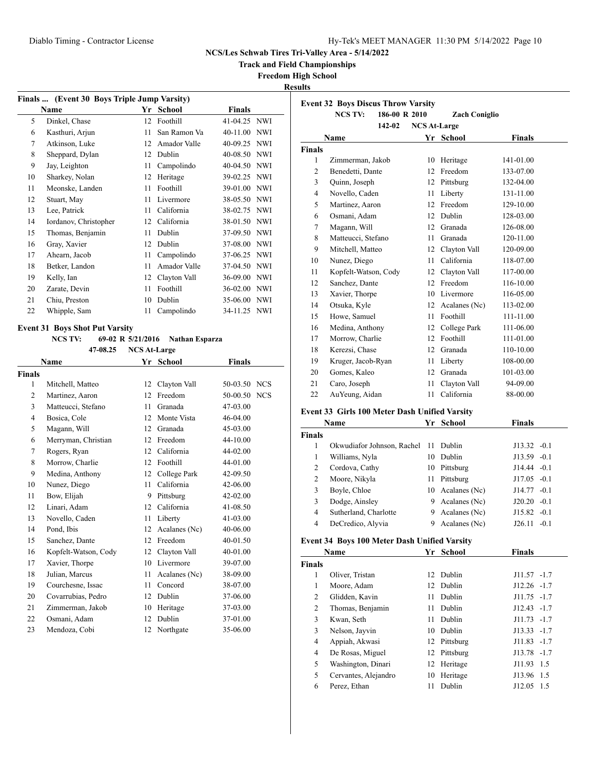**Track and Field Championships**

## **Freedom High School**

**Results**

| Finals  (Event 30 Boys Triple Jump Varsity) |                       |    |              |               |            |  |
|---------------------------------------------|-----------------------|----|--------------|---------------|------------|--|
|                                             | <b>Name</b>           | Yr | School       | <b>Finals</b> |            |  |
| 5                                           | Dinkel, Chase         | 12 | Foothill     | 41-04.25 NWI  |            |  |
| 6                                           | Kasthuri, Arjun       | 11 | San Ramon Va | 40-11.00      | <b>NWI</b> |  |
| 7                                           | Atkinson, Luke        | 12 | Amador Valle | 40-09.25      | <b>NWI</b> |  |
| 8                                           | Sheppard, Dylan       | 12 | Dublin       | 40-08.50      | <b>NWI</b> |  |
| 9                                           | Jay, Leighton         | 11 | Campolindo   | 40-04.50      | <b>NWI</b> |  |
| 10                                          | Sharkey, Nolan        | 12 | Heritage     | 39-02.25      | <b>NWI</b> |  |
| 11                                          | Meonske, Landen       | 11 | Foothill     | 39-01.00      | <b>NWI</b> |  |
| 12                                          | Stuart, May           | 11 | Livermore    | 38-05.50 NWI  |            |  |
| 13                                          | Lee, Patrick          | 11 | California   | 38-02.75      | <b>NWI</b> |  |
| 14                                          | Iordanov, Christopher | 12 | California   | 38-01.50 NWI  |            |  |
| 15                                          | Thomas, Benjamin      | 11 | Dublin       | 37-09.50      | <b>NWI</b> |  |
| 16                                          | Gray, Xavier          | 12 | Dublin       | 37-08.00      | <b>NWI</b> |  |
| 17                                          | Ahearn, Jacob         | 11 | Campolindo   | 37-06.25      | <b>NWI</b> |  |
| 18                                          | Betker, Landon        | 11 | Amador Valle | 37-04.50      | <b>NWI</b> |  |
| 19                                          | Kelly, Ian            | 12 | Clayton Vall | 36-09.00      | <b>NWI</b> |  |
| 20                                          | Zarate, Devin         | 11 | Foothill     | 36-02.00      | <b>NWI</b> |  |
| 21                                          | Chiu, Preston         | 10 | Dublin       | 35-06.00      | <b>NWI</b> |  |
| 22                                          | Whipple, Sam          | 11 | Campolindo   | 34-11.25 NWI  |            |  |
|                                             |                       |    |              |               |            |  |

#### **Event 31 Boys Shot Put Varsity**

**NCS TV: 69-02 R 5/21/2016 Nathan Esparza 47-08.25 NCS At-Large**

|                      |      | Yr School     | <b>Finals</b> |  |
|----------------------|------|---------------|---------------|--|
|                      |      |               |               |  |
| Mitchell, Matteo     | 12   | Clayton Vall  | 50-03.50 NCS  |  |
| Martinez, Aaron      | 12   | Freedom       | 50-00.50 NCS  |  |
| Matteucci, Stefano   | 11   | Granada       | 47-03.00      |  |
| Bosica, Cole         | 12   | Monte Vista   | 46-04.00      |  |
| Magann, Will         | 12   | Granada       | 45-03.00      |  |
| Merryman, Christian  | 12   | Freedom       | 44-10.00      |  |
| Rogers, Ryan         | 12   | California    | 44-02.00      |  |
| Morrow, Charlie      | 12   | Foothill      | 44-01.00      |  |
| Medina, Anthony      | 12   | College Park  | 42-09.50      |  |
| Nunez, Diego         | 11   | California    | 42-06.00      |  |
| Bow, Elijah          | 9    | Pittsburg     | 42-02.00      |  |
| Linari, Adam         | 12   | California    | 41-08.50      |  |
| Novello, Caden       | 11   | Liberty       | $41 - 03.00$  |  |
| Pond, Ibis           | 12   | Acalanes (Nc) | 40-06.00      |  |
| Sanchez, Dante       | 12   | Freedom       | $40 - 01.50$  |  |
| Kopfelt-Watson, Cody | 12   | Clayton Vall  | 40-01.00      |  |
| Xavier, Thorpe       | 10   | Livermore     | 39-07.00      |  |
| Julian, Marcus       | 11   | Acalanes (Nc) | 38-09.00      |  |
| Courchesne, Issac    | 11   | Concord       | 38-07.00      |  |
| Covarrubias, Pedro   | 12   | Dublin        | 37-06.00      |  |
| Zimmerman, Jakob     | 10   | Heritage      | 37-03.00      |  |
| Osmani, Adam         | 12   | Dublin        | 37-01.00      |  |
| Mendoza, Cobi        | 12   | Northgate     | 35-06.00      |  |
|                      | Name |               |               |  |

|                | 186-00 R 2010<br><b>NCS TV:</b> |                     | <b>Zach Coniglio</b> |               |
|----------------|---------------------------------|---------------------|----------------------|---------------|
|                | 142-02                          | <b>NCS At-Large</b> |                      |               |
|                | Name                            |                     | Yr School            | <b>Finals</b> |
| <b>Finals</b>  |                                 |                     |                      |               |
| 1              | Zimmerman, Jakob                | 10                  | Heritage             | 141-01.00     |
| 2              | Benedetti, Dante                | 12                  | Freedom              | 133-07.00     |
| 3              | Quinn, Joseph                   | 12                  | Pittsburg            | 132-04.00     |
| $\overline{4}$ | Novello, Caden                  | 11                  | Liberty              | 131-11.00     |
| 5              | Martinez, Aaron                 | 12                  | Freedom              | 129-10.00     |
| 6              | Osmani, Adam                    | 12                  | Dublin               | 128-03.00     |
| 7              | Magann, Will                    | 12                  | Granada              | 126-08.00     |
| 8              | Matteucci, Stefano              | 11                  | Granada              | 120-11.00     |
| 9              | Mitchell, Matteo                | 12                  | Clayton Vall         | 120-09.00     |
| 10             | Nunez, Diego                    | 11                  | California           | 118-07.00     |
| 11             | Kopfelt-Watson, Cody            | 12                  | Clayton Vall         | 117-00.00     |
| 12             | Sanchez, Dante                  | 12                  | Freedom              | 116-10.00     |
| 13             | Xavier, Thorpe                  | 10                  | Livermore            | 116-05.00     |
| 14             | Otsuka, Kyle                    | 12                  | Acalanes (Nc)        | 113-02.00     |
| 15             | Howe, Samuel                    | 11                  | Foothill             | 111-11.00     |
| 16             | Medina, Anthony                 | 12                  | College Park         | 111-06.00     |
| 17             | Morrow, Charlie                 | 12                  | Foothill             | 111-01.00     |
| 18             | Kerezsi, Chase                  | 12                  | Granada              | 110-10.00     |
| 19             | Kruger, Jacob-Ryan              | 11                  | Liberty              | 108-00.00     |
| 20             | Gomes, Kaleo                    | 12                  | Granada              | 101-03.00     |
| 21             | Caro, Joseph                    | 11                  | Clayton Vall         | 94-09.00      |
| 22             | AuYeung, Aidan                  | 11                  | California           | 88-00.00      |

## **Event 33 Girls 100 Meter Dash Unified Varsity**

| Name          |                            | Yr  | <b>School</b>    | Finals           |
|---------------|----------------------------|-----|------------------|------------------|
| <b>Finals</b> |                            |     |                  |                  |
|               | Okwudiafor Johnson, Rachel |     | 11 Dublin        | $J13.32 -0.1$    |
| 1             | Williams, Nyla             | 10  | <b>Dublin</b>    | $J13.59 -0.1$    |
| 2             | Cordova, Cathy             | 10  | Pittsburg        | $J14.44 - 0.1$   |
| 2             | Moore, Nikyla              | 11. | Pittsburg        | $J17.05 -0.1$    |
| 3             | Boyle, Chloe               |     | 10 Acalanes (Nc) | J14.77<br>$-0.1$ |
| 3             | Dodge, Ainsley             | 9.  | Acalanes (Nc)    | $J20.20 -0.1$    |
| 4             | Sutherland, Charlotte      | 9   | Acalanes (Nc)    | $J15.82 -0.1$    |
| 4             | DeCredico, Alyvia          |     | Acalanes (Nc)    | J26.11<br>$-0.1$ |

## **Event 34 Boys 100 Meter Dash Unified Varsity**

| Name          |                      | Yr | School       | <b>Finals</b> |
|---------------|----------------------|----|--------------|---------------|
| <b>Finals</b> |                      |    |              |               |
| 1             | Oliver, Tristan      |    | 12 Dublin    | $J11.57 -1.7$ |
| 1             | Moore, Adam          | 12 | Dublin       | $J12.26 -1.7$ |
| 2             | Glidden, Kavin       | 11 | Dublin       | $J11.75 -1.7$ |
| 2             | Thomas, Benjamin     | 11 | Dublin       | $J12.43 -1.7$ |
| 3             | Kwan, Seth           | 11 | Dublin       | $J11.73 -1.7$ |
| 3             | Nelson, Jayvin       | 10 | Dublin       | $J13.33 -1.7$ |
| 4             | Appiah, Akwasi       |    | 12 Pittsburg | $J11.83 -1.7$ |
| 4             | De Rosas, Miguel     |    | 12 Pittsburg | $J13.78 -1.7$ |
| 5             | Washington, Dinari   | 12 | Heritage     | J11.93 1.5    |
| 5             | Cervantes, Alejandro | 10 | Heritage     | J13.96 1.5    |
| 6             | Perez, Ethan         | 11 | Dublin       | $J12.05$ 1.5  |